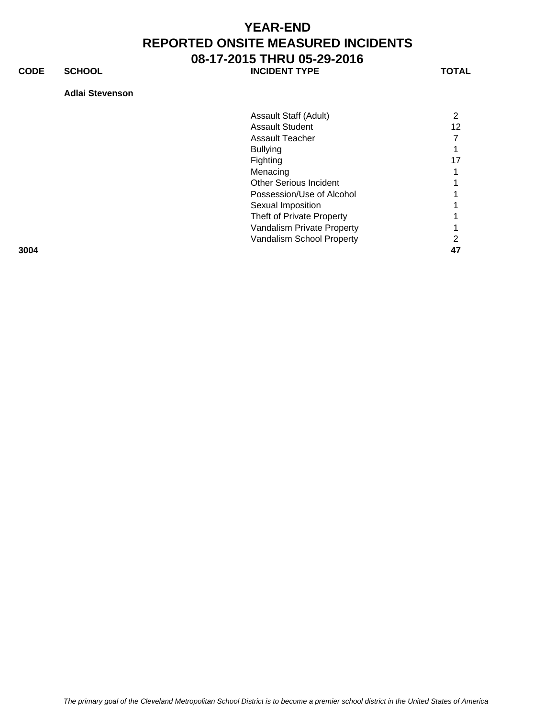**CODE SCHOOL SCHOOL INCIDENT TYPE TOTAL** 

**Adlai Stevenson**

|      | Assault Staff (Adult)         | 2  |
|------|-------------------------------|----|
|      | <b>Assault Student</b>        | 12 |
|      | <b>Assault Teacher</b>        |    |
|      | <b>Bullying</b>               |    |
|      | Fighting                      | 17 |
|      | Menacing                      |    |
|      | <b>Other Serious Incident</b> |    |
|      | Possession/Use of Alcohol     |    |
|      | Sexual Imposition             |    |
|      | Theft of Private Property     |    |
|      | Vandalism Private Property    |    |
|      | Vandalism School Property     | າ  |
| 3004 |                               | 47 |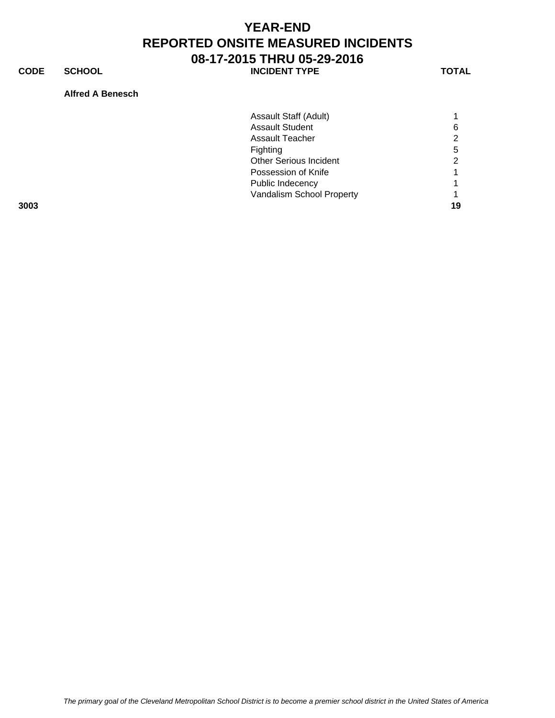**CODE SCHOOL SCHOOL INCIDENT TYPE TOTAL** 

### **Alfred A Benesch**

|      | Assault Staff (Adult)         |    |
|------|-------------------------------|----|
|      | <b>Assault Student</b>        | 6  |
|      | <b>Assault Teacher</b>        | 2  |
|      | Fighting                      | 5  |
|      | <b>Other Serious Incident</b> | 2  |
|      | Possession of Knife           |    |
|      | Public Indecency              |    |
|      | Vandalism School Property     |    |
| 3003 |                               | 19 |

*The primary goal of the Cleveland Metropolitan School District is to become a premier school district in the United States of America*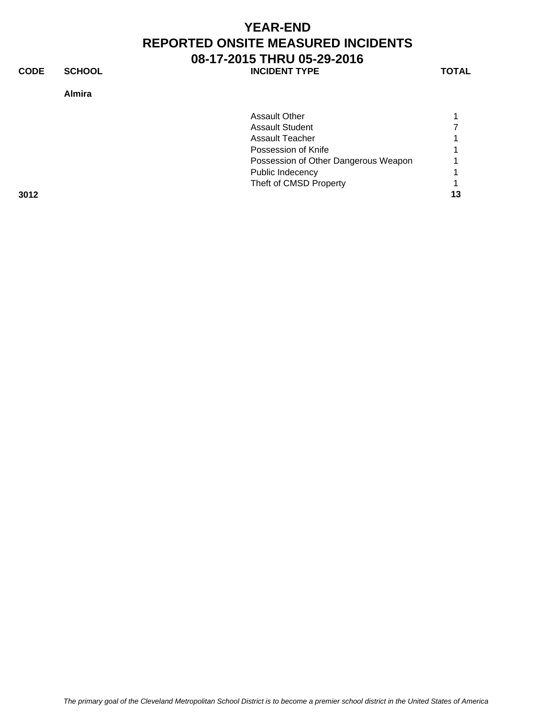**CODE SCHOOL SCHOOL INCIDENT TYPE TOTAL** 

### **Almira**

|      | <b>Assault Other</b>                 |    |
|------|--------------------------------------|----|
|      | <b>Assault Student</b>               |    |
|      | Assault Teacher                      |    |
|      | Possession of Knife                  |    |
|      | Possession of Other Dangerous Weapon |    |
|      | Public Indecency                     |    |
|      | Theft of CMSD Property               |    |
| 3012 |                                      | 13 |
|      |                                      |    |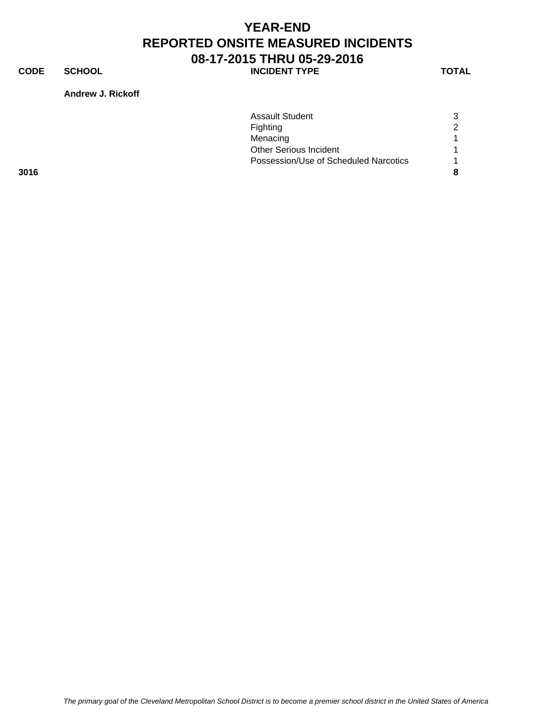**CODE SCHOOL SCHOOL INCIDENT TYPE TOTAL** 

**Andrew J. Rickoff**

|      | <b>Assault Student</b>                | 3 |
|------|---------------------------------------|---|
|      | Fighting                              | 2 |
|      | Menacing                              |   |
|      | <b>Other Serious Incident</b>         |   |
|      | Possession/Use of Scheduled Narcotics |   |
| 3016 |                                       | 8 |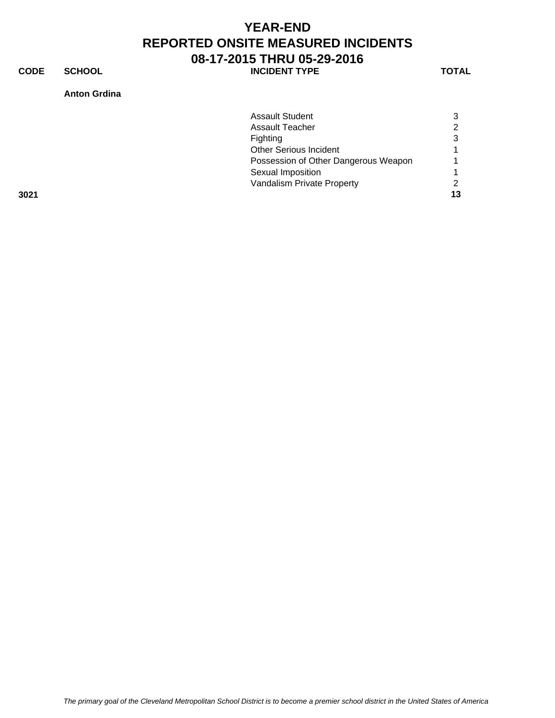**CODE SCHOOL SCHOOL INCIDENT TYPE TOTAL** 

### **Anton Grdina**

| Sexual Imposition                    |   |
|--------------------------------------|---|
| Possession of Other Dangerous Weapon |   |
| <b>Other Serious Incident</b>        |   |
| Fighting                             | 3 |
| <b>Assault Teacher</b>               | ⌒ |
| <b>Assault Student</b>               |   |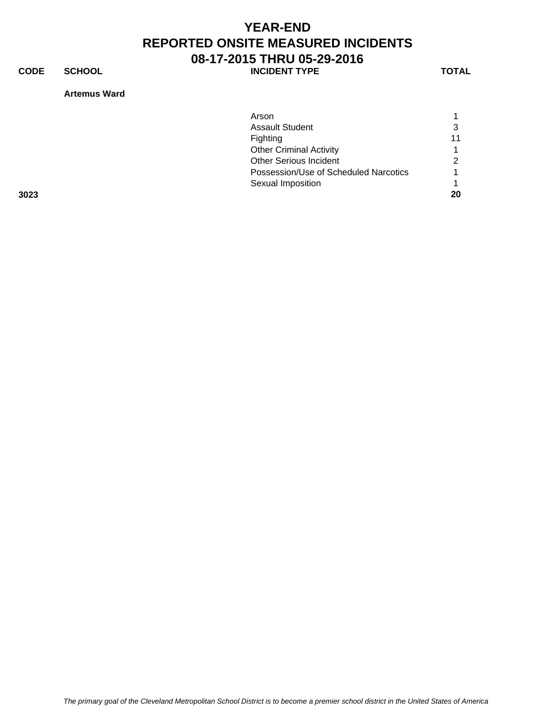**CODE SCHOOL SCHOOL INCIDENT TYPE TOTAL** 

### **Artemus Ward**

|      | Arson                                 |    |
|------|---------------------------------------|----|
|      | <b>Assault Student</b>                | 3  |
|      | Fighting                              | 11 |
|      | <b>Other Criminal Activity</b>        |    |
|      | <b>Other Serious Incident</b>         | 2  |
|      | Possession/Use of Scheduled Narcotics | 1  |
|      | Sexual Imposition                     |    |
| 3023 |                                       | 20 |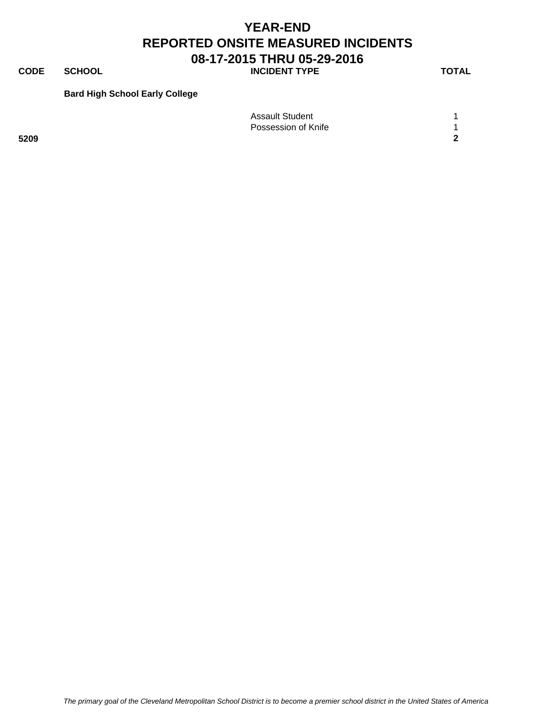**CODE SCHOOL SCHOOL INCIDENT TYPE TOTAL** 

### **Bard High School Early College**

|      | <b>Assault Student</b> |        |
|------|------------------------|--------|
|      | Possession of Knife    |        |
| 5209 |                        | $\sim$ |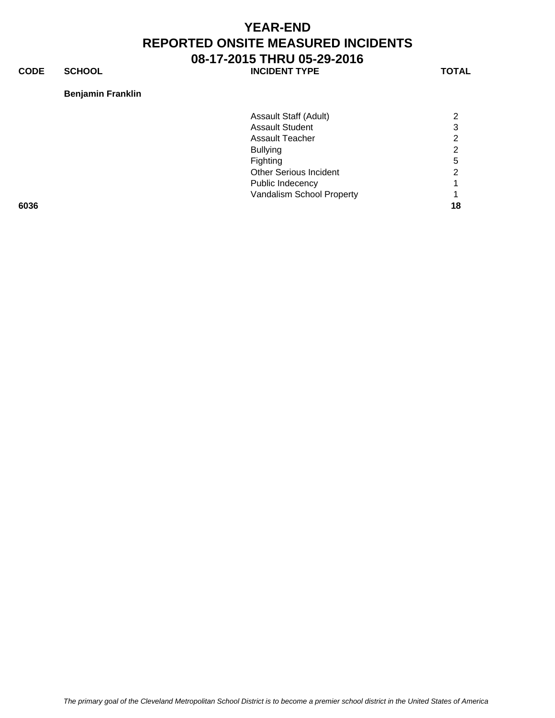**CODE SCHOOL SCHOOL INCIDENT TYPE TOTAL** 

### **Benjamin Franklin**

|      | Assault Staff (Adult)         | 2  |
|------|-------------------------------|----|
|      | <b>Assault Student</b>        | 3  |
|      | <b>Assault Teacher</b>        | 2  |
|      | <b>Bullying</b>               | 2  |
|      | Fighting                      | 5  |
|      | <b>Other Serious Incident</b> | 2  |
|      | Public Indecency              |    |
|      | Vandalism School Property     |    |
| 6036 |                               | 18 |
|      |                               |    |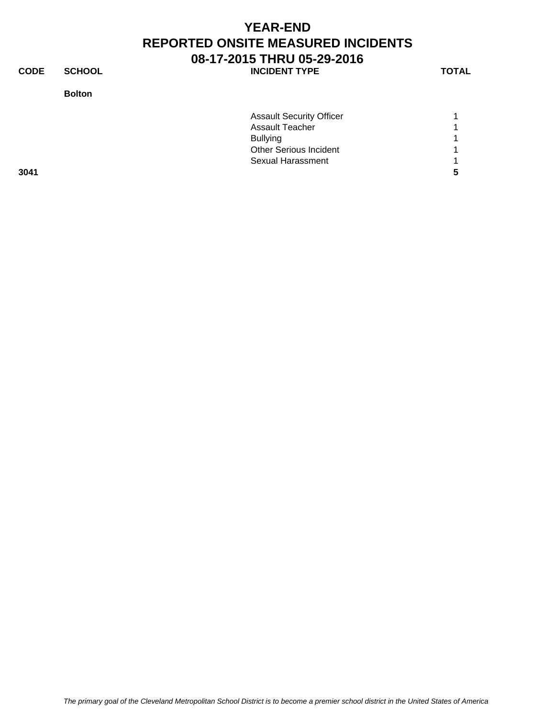**CODE SCHOOL SCHOOL** INCIDENT TYPE TOTAL

**Bolton**

| <b>Assault Security Officer</b> | $\blacktriangleleft$ |
|---------------------------------|----------------------|
| <b>Assault Teacher</b>          | 1                    |
| <b>Bullying</b>                 | 1                    |
| <b>Other Serious Incident</b>   | 1                    |
| Sexual Harassment               | 1                    |
|                                 | -5                   |
|                                 |                      |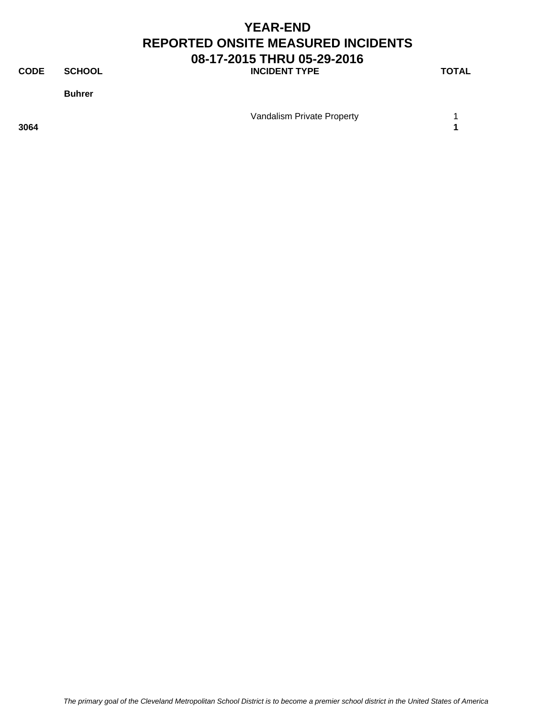**CODE SCHOOL SCHOOL INCIDENT TYPE TOTAL** 

**Buhrer**

Vandalism Private Property **1** 

**3064 1**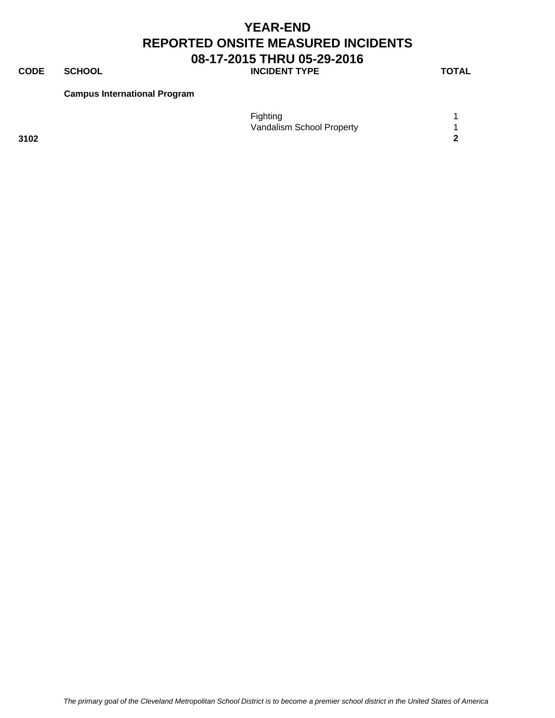### **CODE SCHOOL SCHOOL INCIDENT TYPE TOTAL**

**Campus International Program**

|      | Fighting                  |  |
|------|---------------------------|--|
|      | Vandalism School Property |  |
| 3102 |                           |  |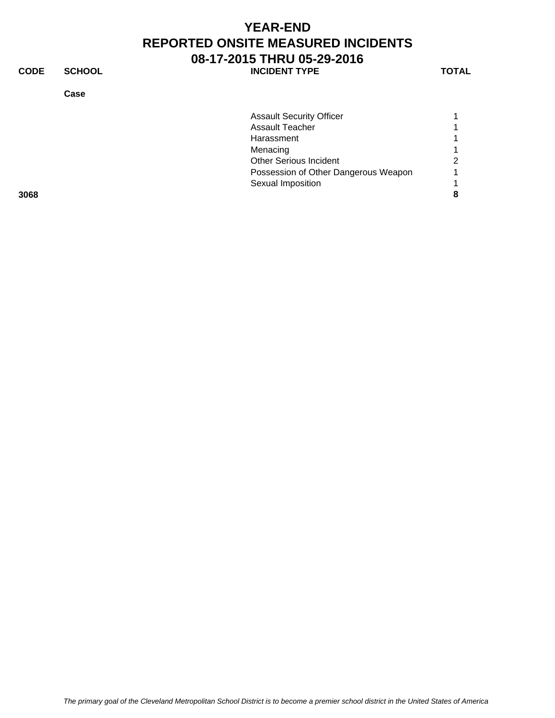**CODE SCHOOL SCHOOL INCIDENT TYPE TOTAL** 

**Case**

|      | <b>Assault Security Officer</b>      |   |
|------|--------------------------------------|---|
|      | <b>Assault Teacher</b>               |   |
|      | Harassment                           |   |
|      | Menacing                             |   |
|      | <b>Other Serious Incident</b>        | ⌒ |
|      | Possession of Other Dangerous Weapon |   |
|      | Sexual Imposition                    |   |
| 3068 |                                      |   |
|      |                                      |   |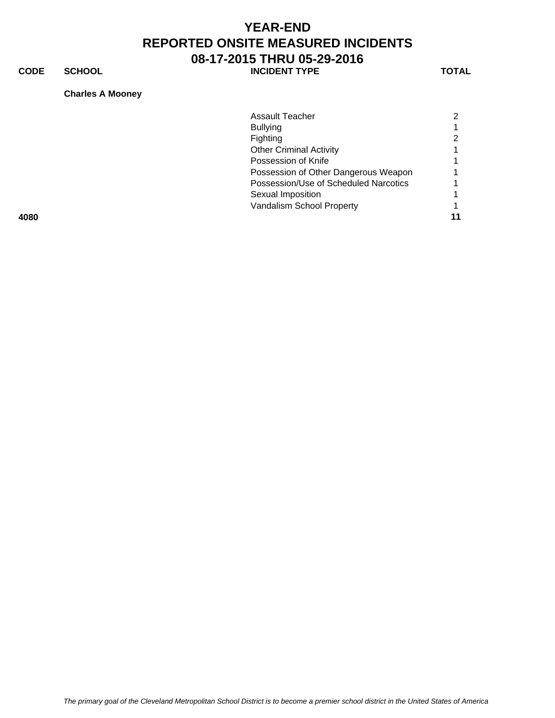**CODE SCHOOL SCHOOL INCIDENT TYPE TOTAL** 

#### **Charles A Mooney**

|      | Assault Teacher                       |  |
|------|---------------------------------------|--|
|      | <b>Bullying</b>                       |  |
|      | Fighting                              |  |
|      | <b>Other Criminal Activity</b>        |  |
|      | Possession of Knife                   |  |
|      | Possession of Other Dangerous Weapon  |  |
|      | Possession/Use of Scheduled Narcotics |  |
|      | Sexual Imposition                     |  |
|      | Vandalism School Property             |  |
| 4080 |                                       |  |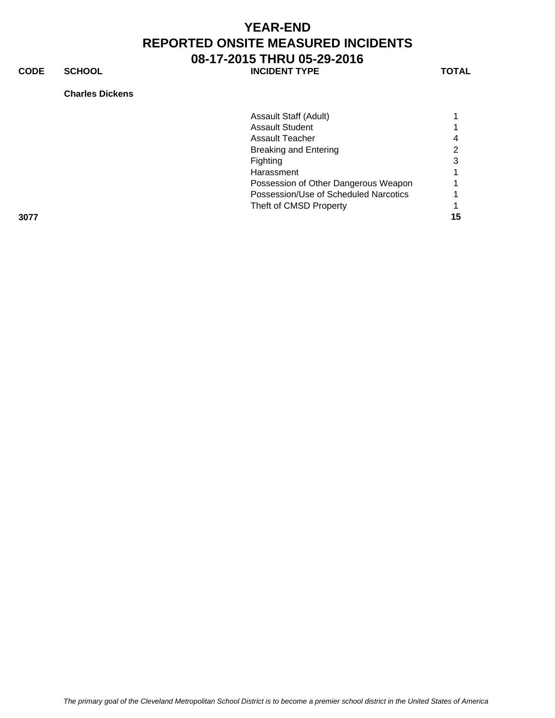**CODE SCHOOL SCHOOL INCIDENT TYPE TOTAL** 

**Charles Dickens**

|      | Assault Staff (Adult)                 |    |
|------|---------------------------------------|----|
|      | <b>Assault Student</b>                |    |
|      | Assault Teacher                       |    |
|      | <b>Breaking and Entering</b>          |    |
|      | Fighting                              |    |
|      | Harassment                            |    |
|      | Possession of Other Dangerous Weapon  |    |
|      | Possession/Use of Scheduled Narcotics |    |
|      | Theft of CMSD Property                |    |
| 3077 |                                       | 15 |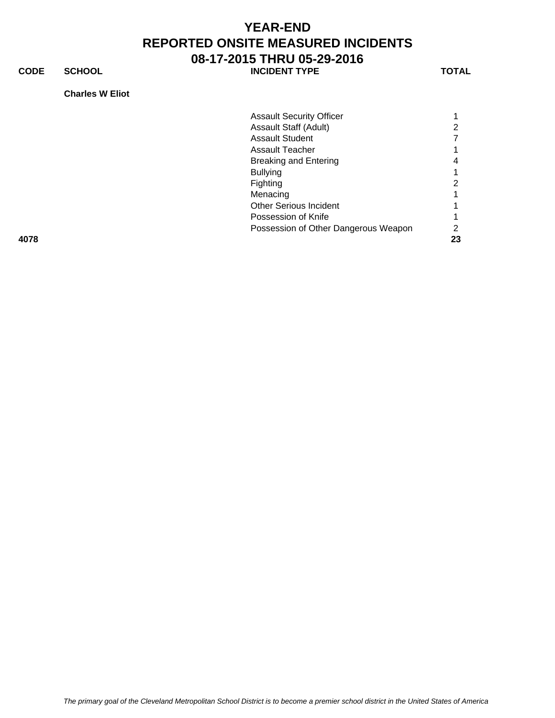**CODE SCHOOL SCHOOL INCIDENT TYPE TOTAL** 

### **Charles W Eliot**

|      | <b>Assault Security Officer</b>      |    |
|------|--------------------------------------|----|
|      | Assault Staff (Adult)                | 2  |
|      | <b>Assault Student</b>               |    |
|      | Assault Teacher                      |    |
|      | Breaking and Entering                | 4  |
|      | <b>Bullying</b>                      |    |
|      | Fighting                             | 2  |
|      | Menacing                             |    |
|      | <b>Other Serious Incident</b>        |    |
|      | Possession of Knife                  |    |
|      | Possession of Other Dangerous Weapon | 2  |
| 4078 |                                      | 23 |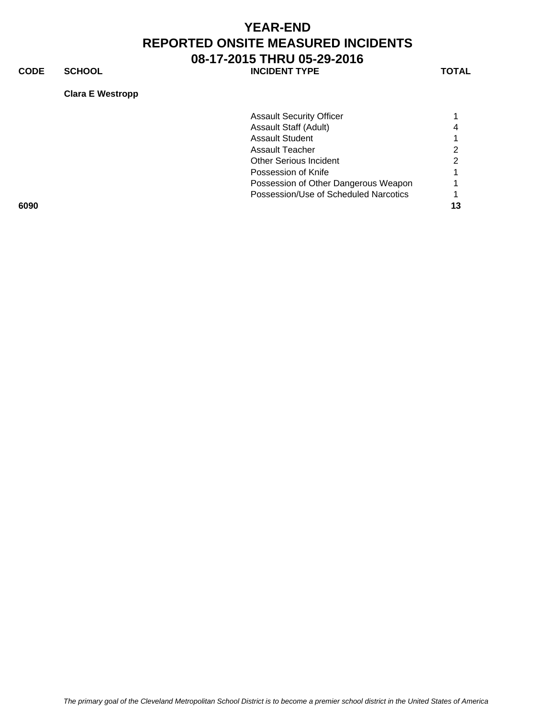**CODE SCHOOL SCHOOL INCIDENT TYPE TOTAL** 

### **Clara E Westropp**

|      | <b>Assault Security Officer</b>       |  |
|------|---------------------------------------|--|
|      | Assault Staff (Adult)                 |  |
|      | <b>Assault Student</b>                |  |
|      | Assault Teacher                       |  |
|      | <b>Other Serious Incident</b>         |  |
|      | Possession of Knife                   |  |
|      | Possession of Other Dangerous Weapon  |  |
|      | Possession/Use of Scheduled Narcotics |  |
| 6090 |                                       |  |
|      |                                       |  |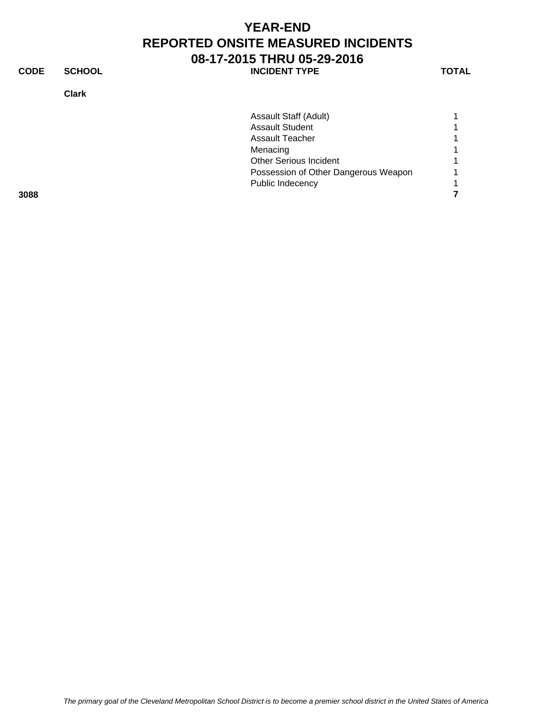**CODE SCHOOL SCHOOL** INCIDENT TYPE TOTAL

**Clark**

|      | Assault Staff (Adult)                |  |
|------|--------------------------------------|--|
|      | <b>Assault Student</b>               |  |
|      | <b>Assault Teacher</b>               |  |
|      | Menacing                             |  |
|      | <b>Other Serious Incident</b>        |  |
|      | Possession of Other Dangerous Weapon |  |
|      | Public Indecency                     |  |
| 3088 |                                      |  |
|      |                                      |  |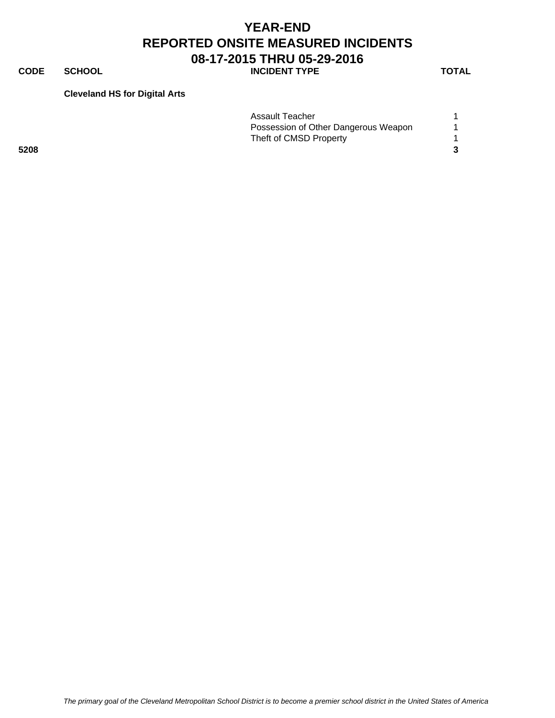**CODE SCHOOL SCHOOL INCIDENT TYPE TOTAL** 

#### **Cleveland HS for Digital Arts**

|      | Assault Teacher                      |  |
|------|--------------------------------------|--|
|      | Possession of Other Dangerous Weapon |  |
|      | Theft of CMSD Property               |  |
| 5208 |                                      |  |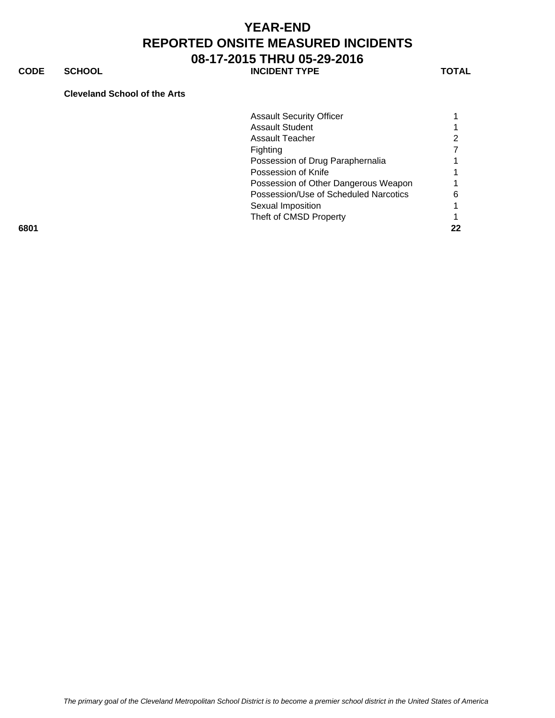**CODE SCHOOL SCHOOL INCIDENT TYPE TOTAL** 

#### **Cleveland School of the Arts**

|      | <b>Assault Security Officer</b>       |    |
|------|---------------------------------------|----|
|      | <b>Assault Student</b>                |    |
|      | Assault Teacher                       |    |
|      | <b>Fighting</b>                       |    |
|      | Possession of Drug Paraphernalia      |    |
|      | Possession of Knife                   |    |
|      | Possession of Other Dangerous Weapon  |    |
|      | Possession/Use of Scheduled Narcotics | 6  |
|      | Sexual Imposition                     |    |
|      | Theft of CMSD Property                |    |
| 6801 |                                       | 22 |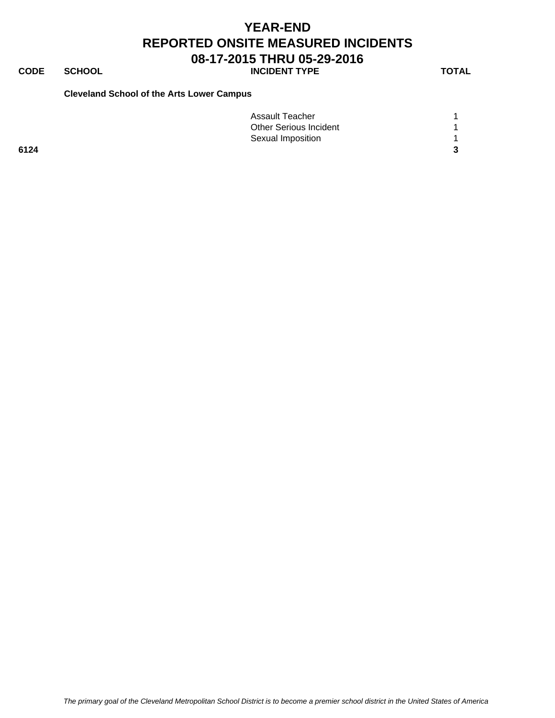# **CODE SCHOOL SCHOOL INCIDENT TYPE TOTAL**

#### **Cleveland School of the Arts Lower Campus**

|      | Assault Teacher               |  |
|------|-------------------------------|--|
|      | <b>Other Serious Incident</b> |  |
|      | Sexual Imposition             |  |
| 6124 |                               |  |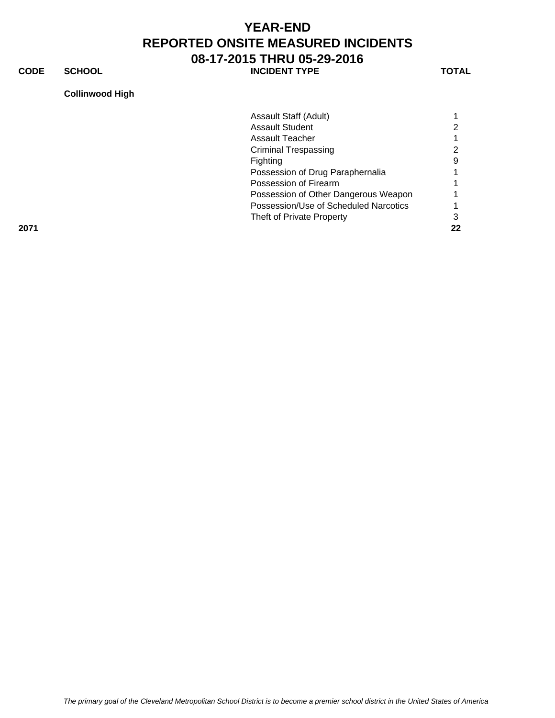**CODE SCHOOL SCHOOL INCIDENT TYPE TOTAL** 

#### **Collinwood High**

|      | Assault Staff (Adult)                 |    |
|------|---------------------------------------|----|
|      | <b>Assault Student</b>                |    |
|      | Assault Teacher                       |    |
|      | <b>Criminal Trespassing</b>           | 2  |
|      | <b>Fighting</b>                       | 9  |
|      | Possession of Drug Paraphernalia      |    |
|      | Possession of Firearm                 |    |
|      | Possession of Other Dangerous Weapon  |    |
|      | Possession/Use of Scheduled Narcotics |    |
|      | Theft of Private Property             |    |
| 2071 |                                       | 22 |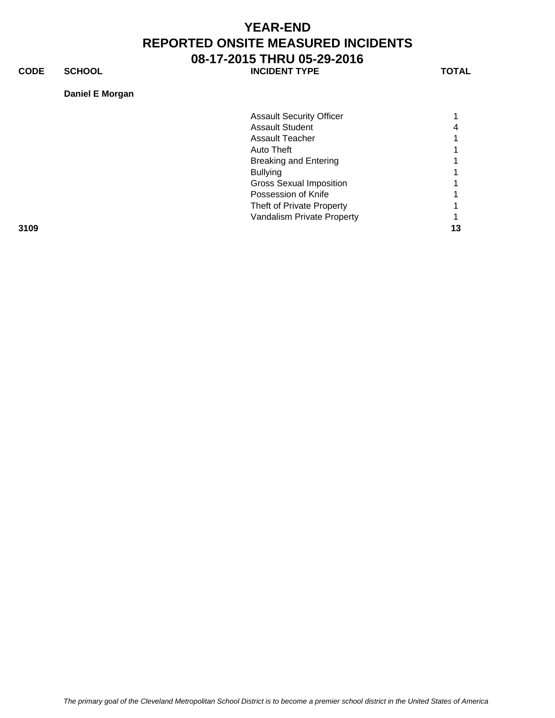**CODE SCHOOL SCHOOL INCIDENT TYPE TOTAL** 

### **Daniel E Morgan**

|      | <b>Assault Security Officer</b> |   |
|------|---------------------------------|---|
|      | <b>Assault Student</b>          | 4 |
|      | Assault Teacher                 |   |
|      | Auto Theft                      |   |
|      | <b>Breaking and Entering</b>    |   |
|      | <b>Bullying</b>                 |   |
|      | <b>Gross Sexual Imposition</b>  |   |
|      | Possession of Knife             |   |
|      | Theft of Private Property       |   |
|      | Vandalism Private Property      |   |
| 3109 |                                 |   |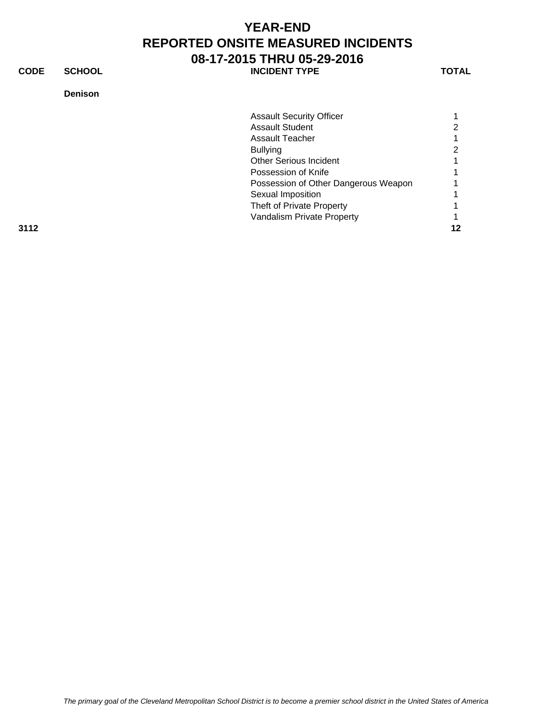**CODE SCHOOL SCHOOL** INCIDENT TYPE TOTAL

### **Denison**

|      | <b>Assault Security Officer</b>      |  |
|------|--------------------------------------|--|
|      | <b>Assault Student</b>               |  |
|      | Assault Teacher                      |  |
|      | <b>Bullying</b>                      |  |
|      | <b>Other Serious Incident</b>        |  |
|      | Possession of Knife                  |  |
|      | Possession of Other Dangerous Weapon |  |
|      | Sexual Imposition                    |  |
|      | Theft of Private Property            |  |
|      | Vandalism Private Property           |  |
| 3112 |                                      |  |
|      |                                      |  |

*The primary goal of the Cleveland Metropolitan School District is to become a premier school district in the United States of America*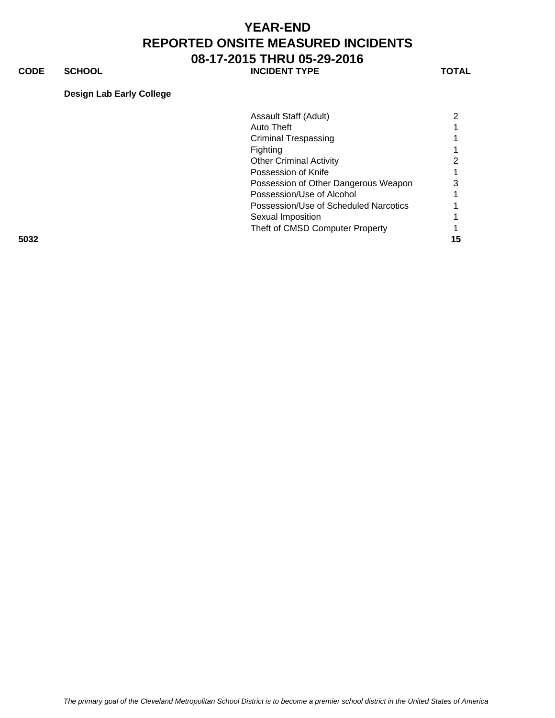**CODE SCHOOL SCHOOL INCIDENT TYPE TOTAL** 

### **Design Lab Early College**

|      | Assault Staff (Adult)                 |    |
|------|---------------------------------------|----|
|      | Auto Theft                            |    |
|      | <b>Criminal Trespassing</b>           |    |
|      | <b>Fighting</b>                       |    |
|      | <b>Other Criminal Activity</b>        |    |
|      | Possession of Knife                   |    |
|      | Possession of Other Dangerous Weapon  |    |
|      | Possession/Use of Alcohol             |    |
|      | Possession/Use of Scheduled Narcotics |    |
|      | Sexual Imposition                     |    |
|      | Theft of CMSD Computer Property       |    |
| 5032 |                                       | 15 |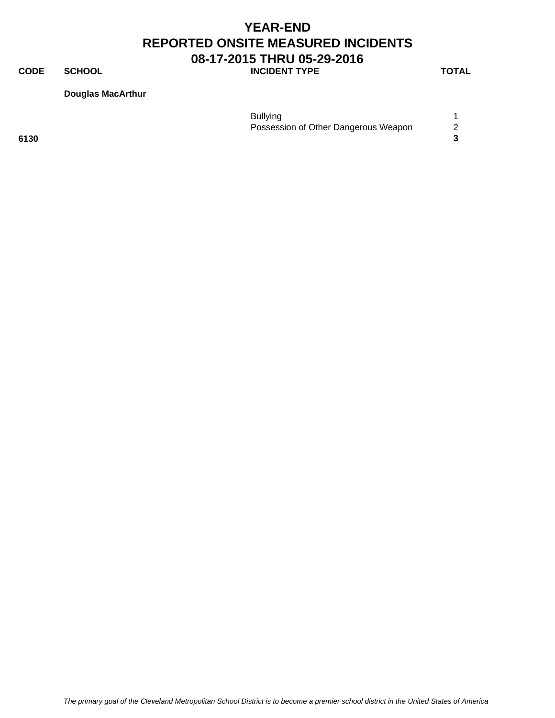# **CODE SCHOOL SCHOOL INCIDENT TYPE TOTAL**

**Douglas MacArthur**

|      | <b>Bullying</b>                      |  |
|------|--------------------------------------|--|
|      | Possession of Other Dangerous Weapon |  |
| 6130 |                                      |  |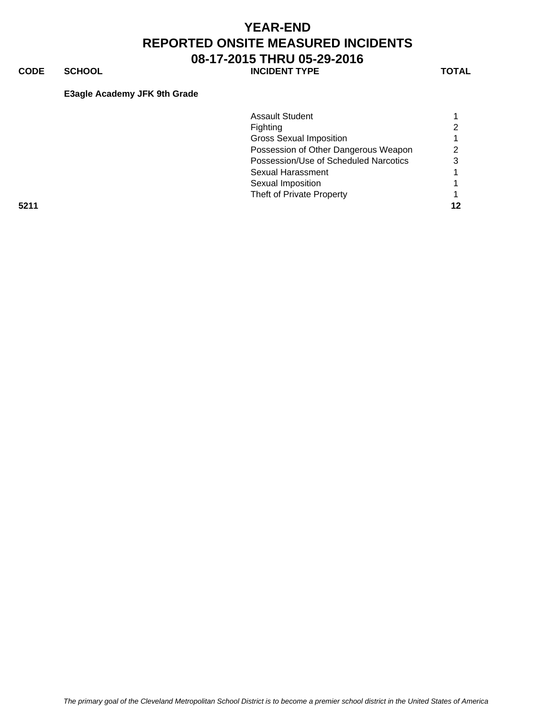**CODE SCHOOL SCHOOL INCIDENT TYPE TOTAL** 

### **E3agle Academy JFK 9th Grade**

|      | <b>Assault Student</b>                |   |
|------|---------------------------------------|---|
|      | Fighting                              |   |
|      | <b>Gross Sexual Imposition</b>        |   |
|      | Possession of Other Dangerous Weapon  |   |
|      | Possession/Use of Scheduled Narcotics | ິ |
|      | Sexual Harassment                     |   |
|      | Sexual Imposition                     |   |
|      | Theft of Private Property             |   |
| 5211 |                                       |   |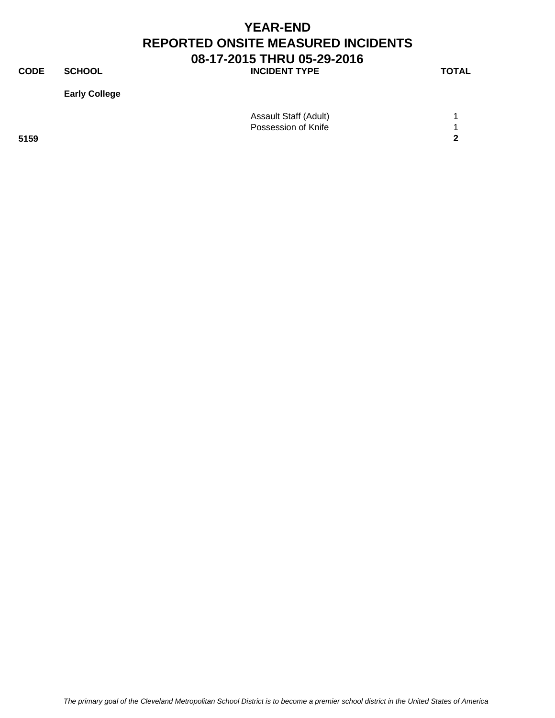**CODE SCHOOL SCHOOL INCIDENT TYPE TOTAL** 

**Early College**

|      | Assault Staff (Adult) |            |
|------|-----------------------|------------|
|      | Possession of Knife   |            |
| 5159 |                       | $\sqrt{2}$ |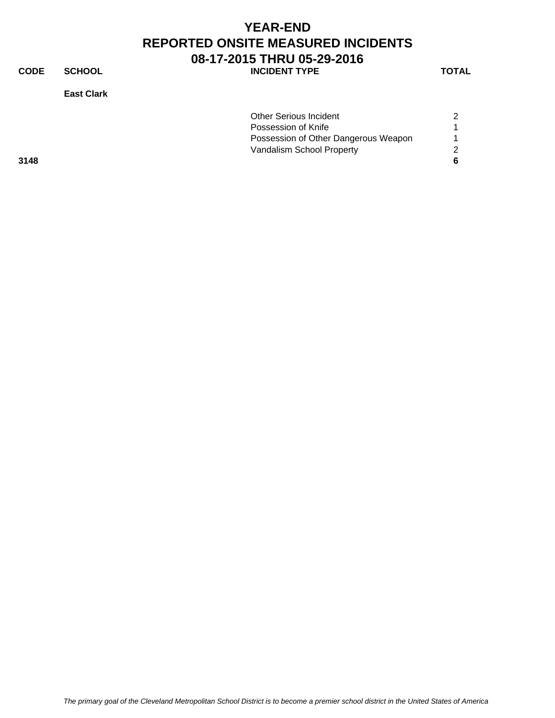**CODE SCHOOL SCHOOL INCIDENT TYPE TOTAL** 

**East Clark**

| <b>Other Serious Incident</b>        | 2 |
|--------------------------------------|---|
| Possession of Knife                  |   |
| Possession of Other Dangerous Weapon |   |
| Vandalism School Property            | 2 |
|                                      | 6 |
|                                      |   |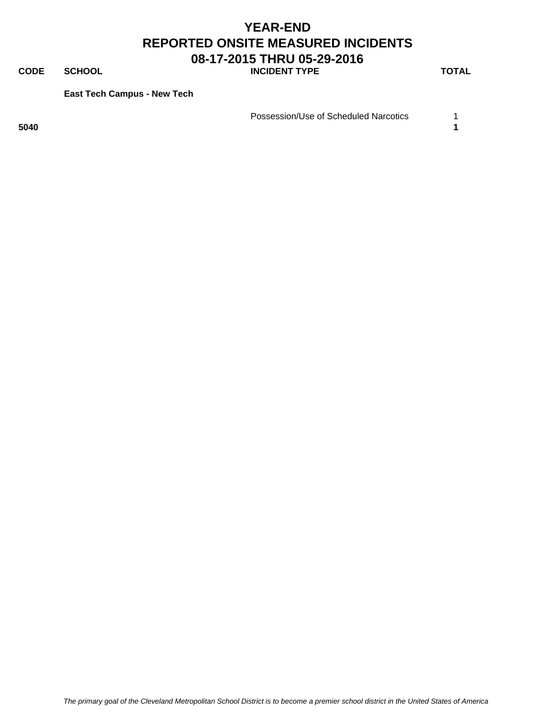**CODE SCHOOL SCHOOL INCIDENT TYPE TOTAL** 

**East Tech Campus - New Tech**

Possession/Use of Scheduled Narcotics 1

**5040 1**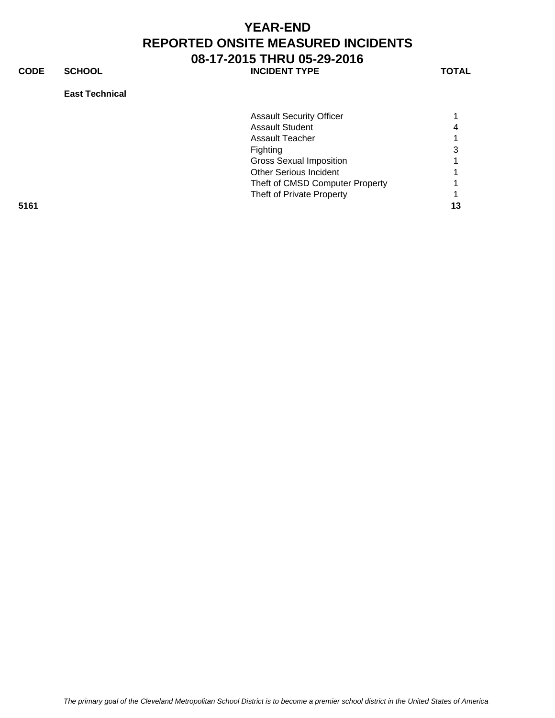**CODE SCHOOL SCHOOL** INCIDENT TYPE TOTAL

### **East Technical**

|      | <b>Assault Security Officer</b> |    |
|------|---------------------------------|----|
|      | <b>Assault Student</b>          | 4  |
|      | Assault Teacher                 |    |
|      | Fighting                        | 3  |
|      | <b>Gross Sexual Imposition</b>  |    |
|      | <b>Other Serious Incident</b>   |    |
|      | Theft of CMSD Computer Property |    |
|      | Theft of Private Property       |    |
| 5161 |                                 | 13 |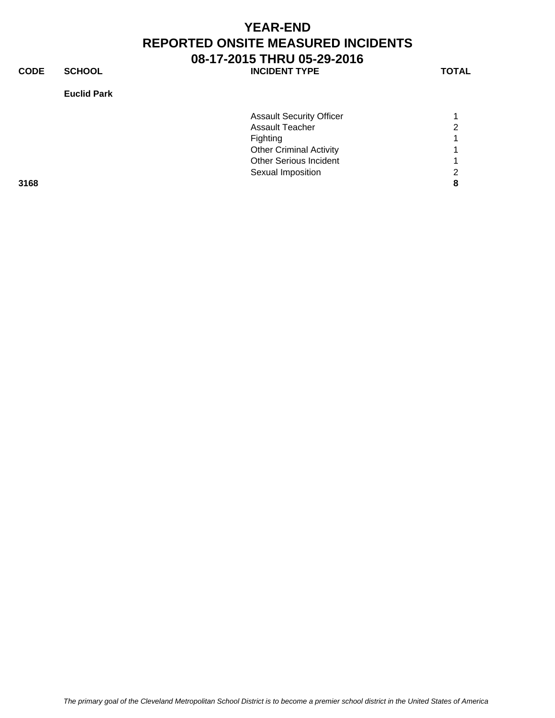**CODE SCHOOL SCHOOL INCIDENT TYPE TOTAL** 

### **Euclid Park**

| <b>Assault Security Officer</b> |                   |
|---------------------------------|-------------------|
| <b>Assault Teacher</b>          | ົ                 |
| <b>Fighting</b>                 |                   |
| <b>Other Criminal Activity</b>  |                   |
| <b>Other Serious Incident</b>   |                   |
|                                 |                   |
|                                 |                   |
|                                 | Sexual Imposition |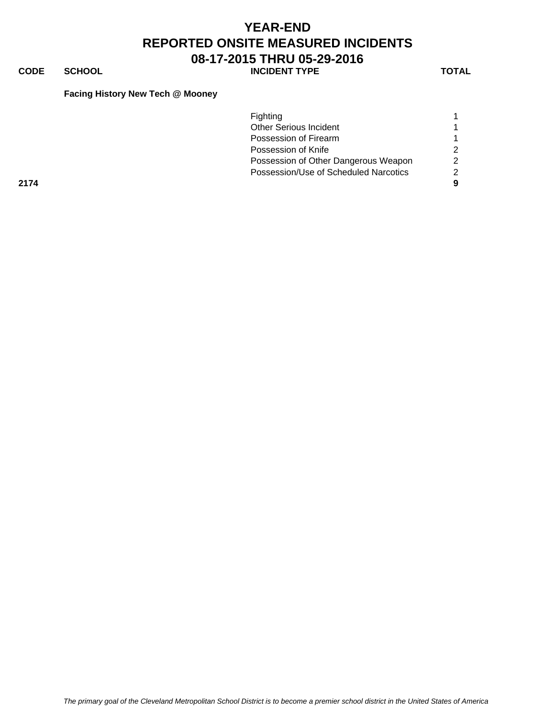# **CODE SCHOOL SCHOOL INCIDENT TYPE TOTAL**

### **Facing History New Tech @ Mooney**

|      | Fighting                              |   |
|------|---------------------------------------|---|
|      | <b>Other Serious Incident</b>         |   |
|      | Possession of Firearm                 |   |
|      | Possession of Knife                   |   |
|      | Possession of Other Dangerous Weapon  | ◠ |
|      | Possession/Use of Scheduled Narcotics | ◠ |
| 2174 |                                       |   |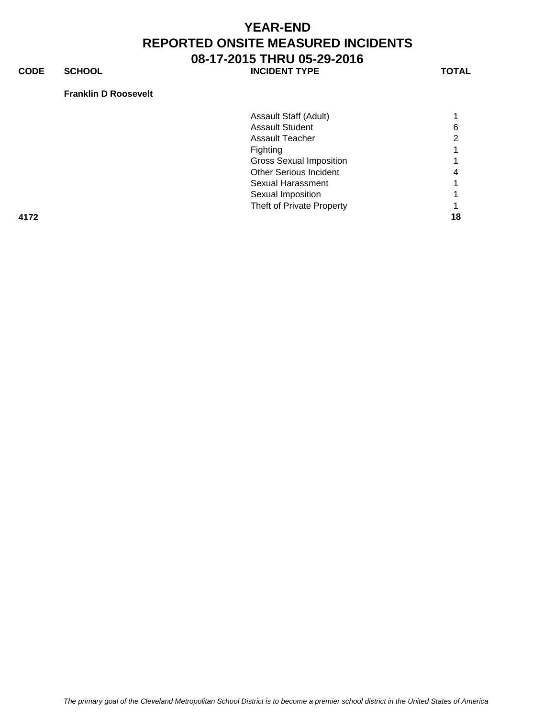**CODE SCHOOL SCHOOL INCIDENT TYPE TOTAL** 

### **Franklin D Roosevelt**

|      | Assault Staff (Adult)          |    |
|------|--------------------------------|----|
|      | <b>Assault Student</b>         |    |
|      | Assault Teacher                |    |
|      | Fighting                       |    |
|      | <b>Gross Sexual Imposition</b> |    |
|      | <b>Other Serious Incident</b>  |    |
|      | Sexual Harassment              |    |
|      | Sexual Imposition              |    |
|      | Theft of Private Property      |    |
| 4172 |                                | 18 |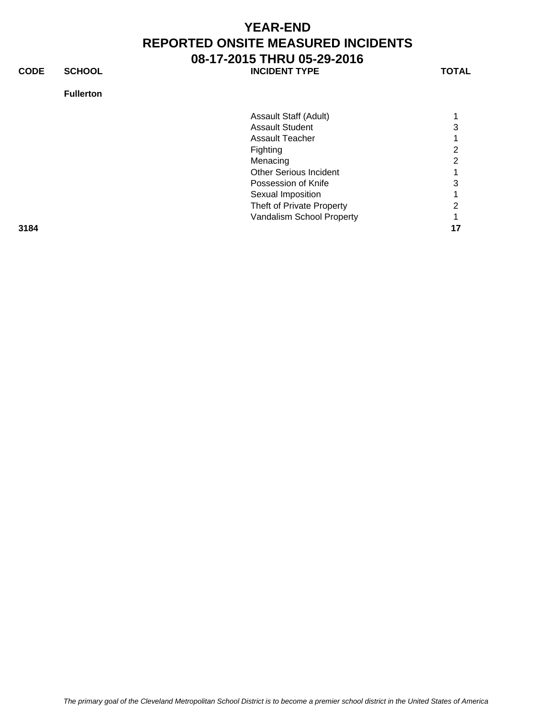**CODE SCHOOL SCHOOL** INCIDENT TYPE TOTAL

### **Fullerton**

| Assault Staff (Adult)         |   |
|-------------------------------|---|
|                               |   |
| <b>Assault Student</b>        | 3 |
| Assault Teacher               |   |
| Fighting                      | 2 |
| Menacing                      | 2 |
| <b>Other Serious Incident</b> |   |
| Possession of Knife           | 3 |
| Sexual Imposition             |   |
| Theft of Private Property     | 2 |
| Vandalism School Property     |   |

**3184 17**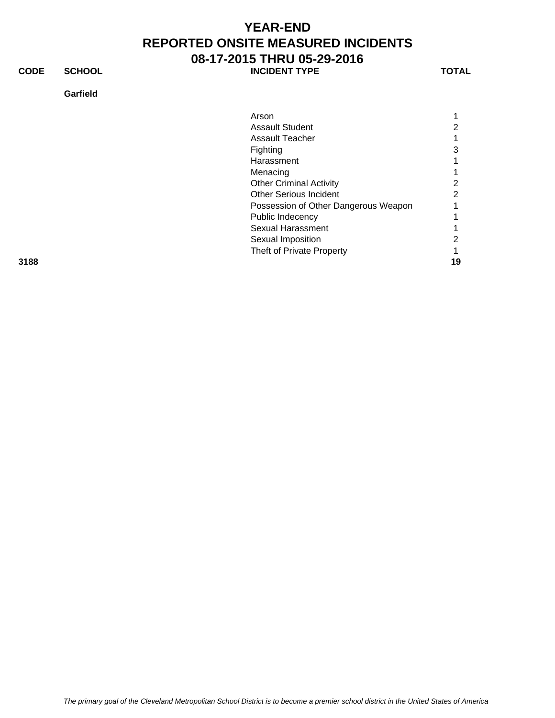**CODE SCHOOL SCHOOL INCIDENT TYPE TOTAL** 

### **Garfield**

| Arson                                |   |
|--------------------------------------|---|
| <b>Assault Student</b>               | 2 |
| Assault Teacher                      | 1 |
| Fighting                             | 3 |
| Harassment                           | 1 |
| Menacing                             | 1 |
| <b>Other Criminal Activity</b>       | 2 |
| <b>Other Serious Incident</b>        | 2 |
| Possession of Other Dangerous Weapon | 1 |
| Public Indecency                     | 1 |
| Sexual Harassment                    |   |

Theft of Private Property 1

**3188 19**

Sexual Harassment 1 Sexual Imposition 2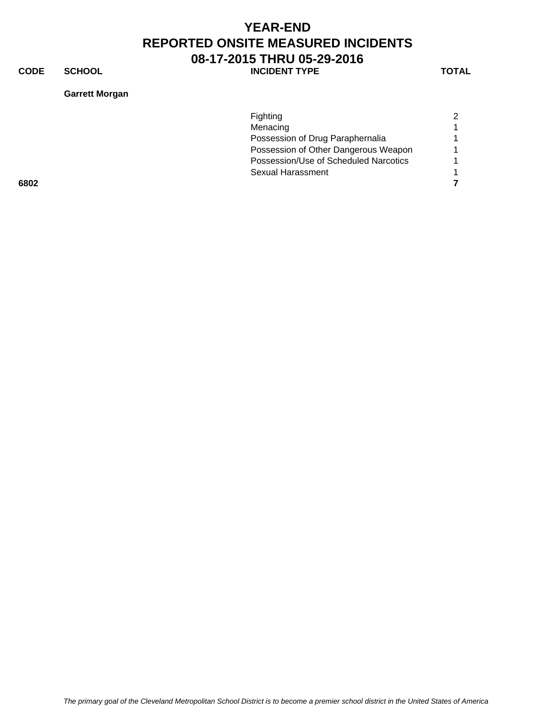**CODE SCHOOL SCHOOL INCIDENT TYPE TOTAL** 

### **Garrett Morgan**

|      | <b>Fighting</b>                       | $\mathcal{P}$ |
|------|---------------------------------------|---------------|
|      | Menacing                              |               |
|      | Possession of Drug Paraphernalia      |               |
|      | Possession of Other Dangerous Weapon  |               |
|      | Possession/Use of Scheduled Narcotics |               |
|      | Sexual Harassment                     |               |
| 6802 |                                       |               |
|      |                                       |               |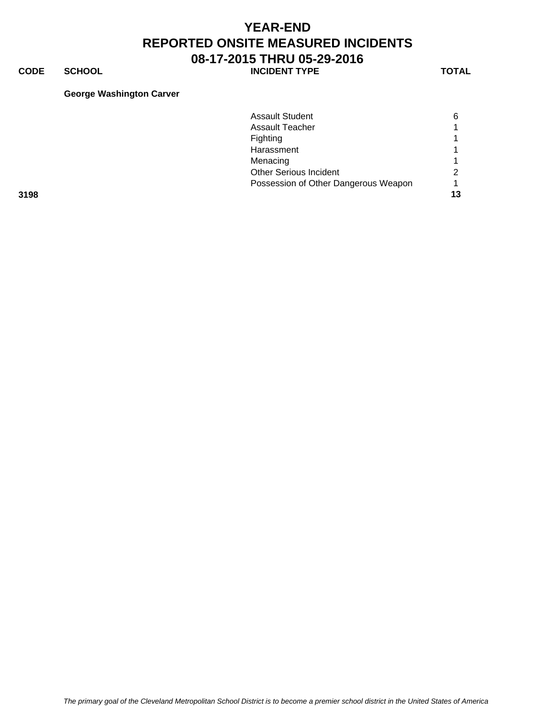**CODE SCHOOL SCHOOL INCIDENT TYPE TOTAL** 

#### **George Washington Carver**

|      | <b>Assault Student</b>               | 6  |
|------|--------------------------------------|----|
|      | <b>Assault Teacher</b>               |    |
|      | Fighting                             |    |
|      | Harassment                           |    |
|      | Menacing                             |    |
|      | <b>Other Serious Incident</b>        |    |
|      | Possession of Other Dangerous Weapon |    |
| 3198 |                                      | 13 |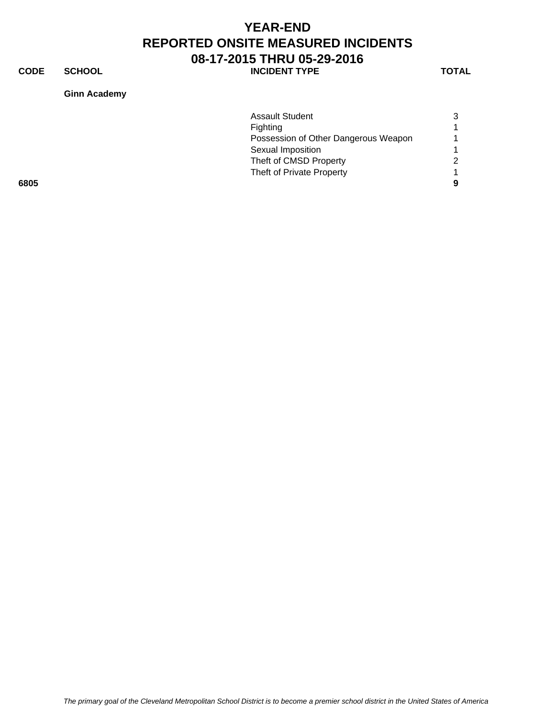**CODE SCHOOL SCHOOL INCIDENT TYPE TOTAL** 

**Ginn Academy**

|      | <b>Assault Student</b>               |   |
|------|--------------------------------------|---|
|      | <b>Fighting</b>                      |   |
|      | Possession of Other Dangerous Weapon |   |
|      | Sexual Imposition                    |   |
|      | Theft of CMSD Property               | 2 |
|      | Theft of Private Property            |   |
| 6805 |                                      | 9 |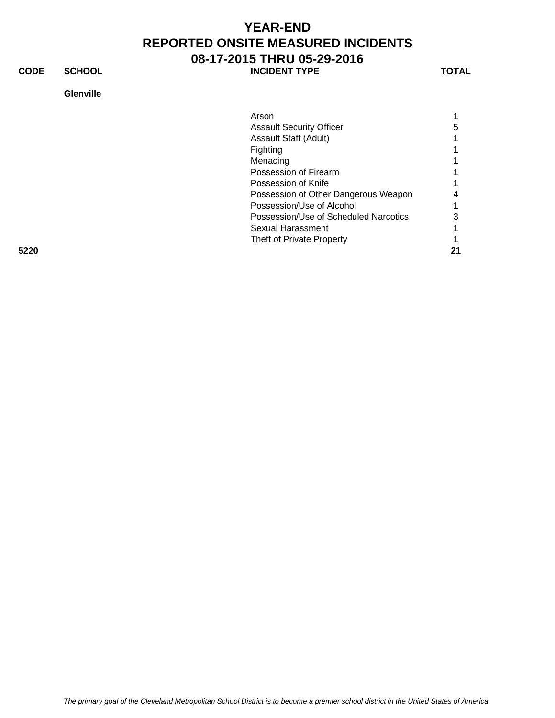**CODE SCHOOL SCHOOL** INCIDENT TYPE TOTAL

### **Glenville**

|      | Arson                                 |    |
|------|---------------------------------------|----|
|      | <b>Assault Security Officer</b>       | 5  |
|      | Assault Staff (Adult)                 |    |
|      | Fighting                              |    |
|      | Menacing                              |    |
|      | Possession of Firearm                 |    |
|      | Possession of Knife                   |    |
|      | Possession of Other Dangerous Weapon  | 4  |
|      | Possession/Use of Alcohol             |    |
|      | Possession/Use of Scheduled Narcotics | 3  |
|      | Sexual Harassment                     |    |
|      | Theft of Private Property             |    |
| 5220 |                                       | 21 |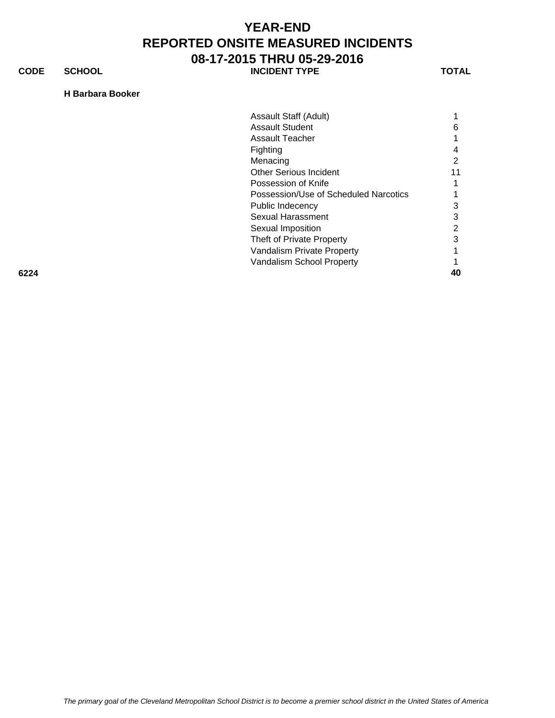**CODE SCHOOL SCHOOL INCIDENT TYPE TOTAL** 

**H Barbara Booker**

|      | Assault Staff (Adult)                 |    |
|------|---------------------------------------|----|
|      | <b>Assault Student</b>                | 6  |
|      |                                       |    |
|      | <b>Assault Teacher</b>                |    |
|      | Fighting                              | 4  |
|      | Menacing                              | 2  |
|      | <b>Other Serious Incident</b>         | 11 |
|      | Possession of Knife                   |    |
|      | Possession/Use of Scheduled Narcotics |    |
|      | Public Indecency                      | 3  |
|      | Sexual Harassment                     | 3  |
|      | Sexual Imposition                     | 2  |
|      | Theft of Private Property             | 3  |
|      | Vandalism Private Property            |    |
|      | Vandalism School Property             |    |
| 6224 |                                       | 40 |

*The primary goal of the Cleveland Metropolitan School District is to become a premier school district in the United States of America*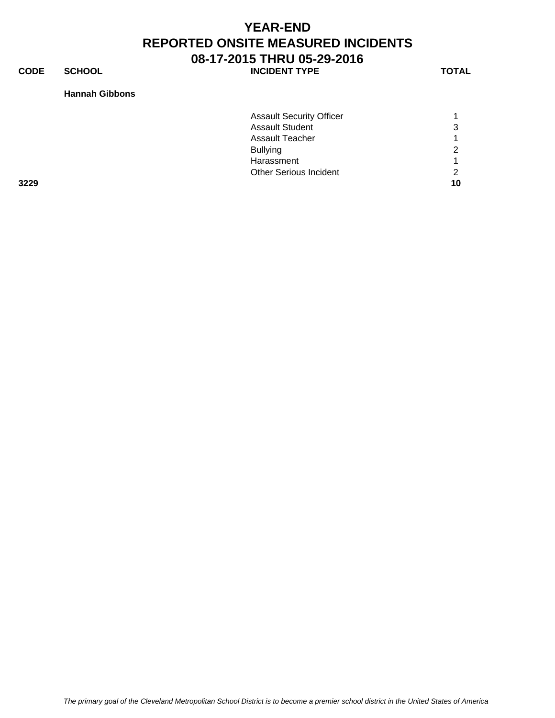**CODE SCHOOL SCHOOL INCIDENT TYPE TOTAL** 

#### **Hannah Gibbons**

| 3229 |                                 | 10 |
|------|---------------------------------|----|
|      | <b>Other Serious Incident</b>   | ⌒  |
|      | Harassment                      |    |
|      | <b>Bullying</b>                 | ົ  |
|      | <b>Assault Teacher</b>          |    |
|      | <b>Assault Student</b>          | 3  |
|      | <b>Assault Security Officer</b> |    |
|      |                                 |    |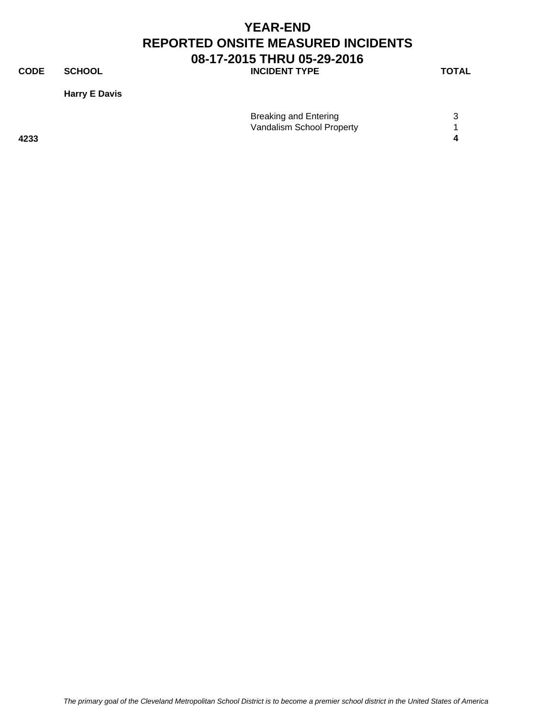**CODE SCHOOL SCHOOL INCIDENT TYPE TOTAL** 

**Harry E Davis**

|      | <b>Breaking and Entering</b> |  |
|------|------------------------------|--|
|      | Vandalism School Property    |  |
| 4233 |                              |  |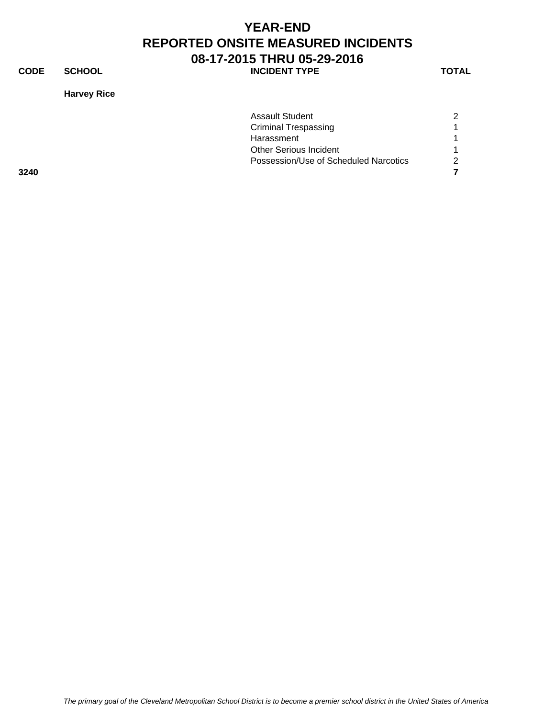**CODE SCHOOL SCHOOL INCIDENT TYPE TOTAL** 

**Harvey Rice**

|      | <b>Assault Student</b>                | $\mathcal{P}$ |
|------|---------------------------------------|---------------|
|      | <b>Criminal Trespassing</b>           |               |
|      | Harassment                            |               |
|      | <b>Other Serious Incident</b>         |               |
|      | Possession/Use of Scheduled Narcotics | $\mathcal{P}$ |
| 3240 |                                       |               |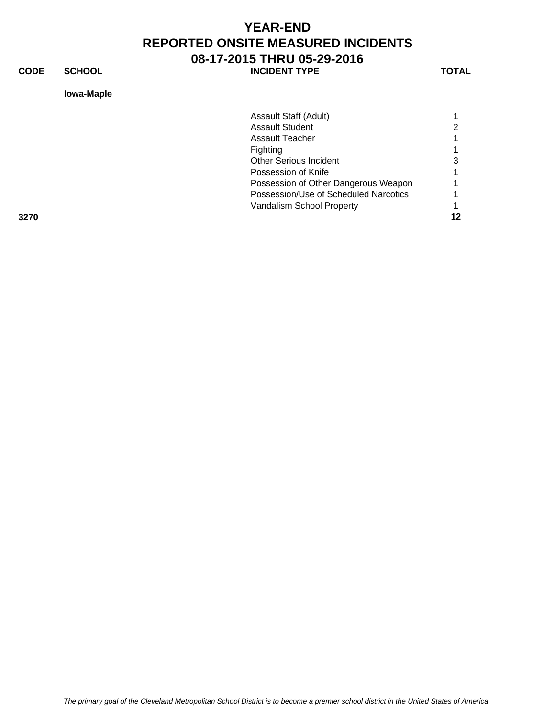**CODE SCHOOL SCHOOL INCIDENT TYPE TOTAL** 

### **Iowa-Maple**

|      | Assault Staff (Adult)                 |    |
|------|---------------------------------------|----|
|      | <b>Assault Student</b>                |    |
|      | Assault Teacher                       |    |
|      | Fighting                              |    |
|      | Other Serious Incident                | 3  |
|      | Possession of Knife                   |    |
|      | Possession of Other Dangerous Weapon  |    |
|      | Possession/Use of Scheduled Narcotics |    |
|      | Vandalism School Property             |    |
| 3270 |                                       | 12 |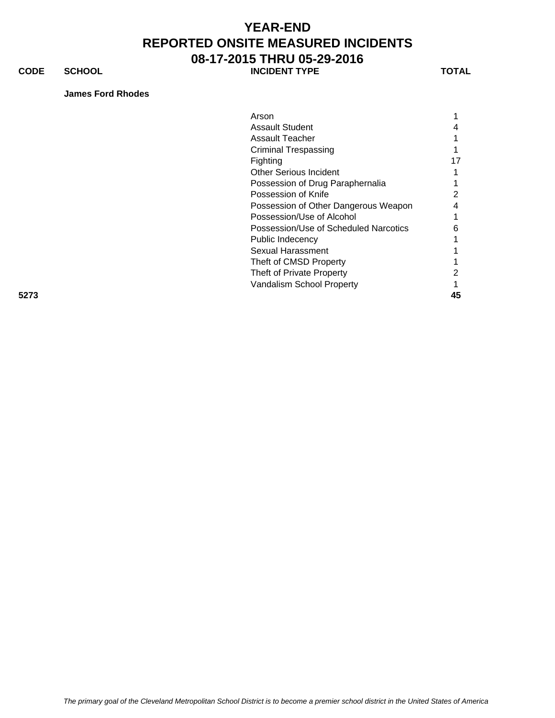### **CODE SCHOOL SCHOOL INCIDENT TYPE TOTAL**

#### **James Ford Rhodes**

|      | Arson                                 |    |
|------|---------------------------------------|----|
|      | <b>Assault Student</b>                | 4  |
|      | Assault Teacher                       |    |
|      | <b>Criminal Trespassing</b>           |    |
|      | Fighting                              | 17 |
|      | <b>Other Serious Incident</b>         |    |
|      | Possession of Drug Paraphernalia      |    |
|      | Possession of Knife                   |    |
|      | Possession of Other Dangerous Weapon  | 4  |
|      | Possession/Use of Alcohol             |    |
|      | Possession/Use of Scheduled Narcotics | 6  |
|      | Public Indecency                      |    |
|      | Sexual Harassment                     |    |
|      | Theft of CMSD Property                |    |
|      | Theft of Private Property             |    |
|      | Vandalism School Property             |    |
| 5273 |                                       | 45 |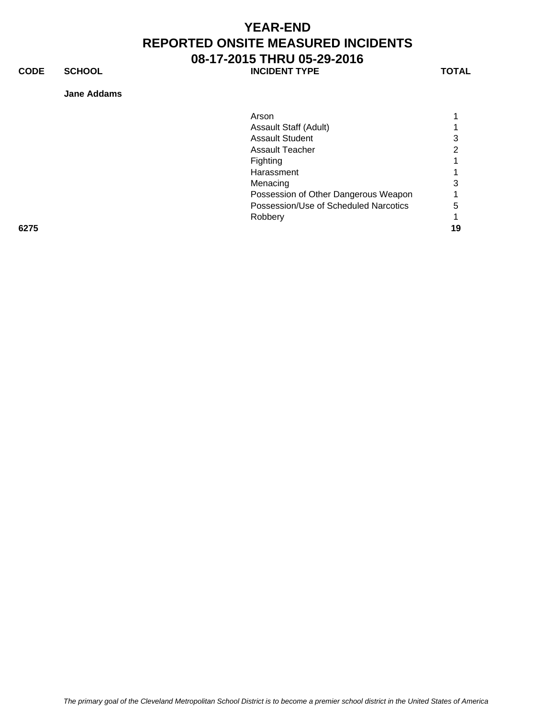**CODE SCHOOL SCHOOL INCIDENT TYPE TOTAL** 

**Jane Addams**

|      | Arson                                 |    |
|------|---------------------------------------|----|
|      | Assault Staff (Adult)                 |    |
|      | <b>Assault Student</b>                | 3  |
|      | <b>Assault Teacher</b>                |    |
|      | Fighting                              |    |
|      | Harassment                            |    |
|      | Menacing                              | 3  |
|      | Possession of Other Dangerous Weapon  |    |
|      | Possession/Use of Scheduled Narcotics | 5  |
|      | Robbery                               |    |
| 6275 |                                       | 19 |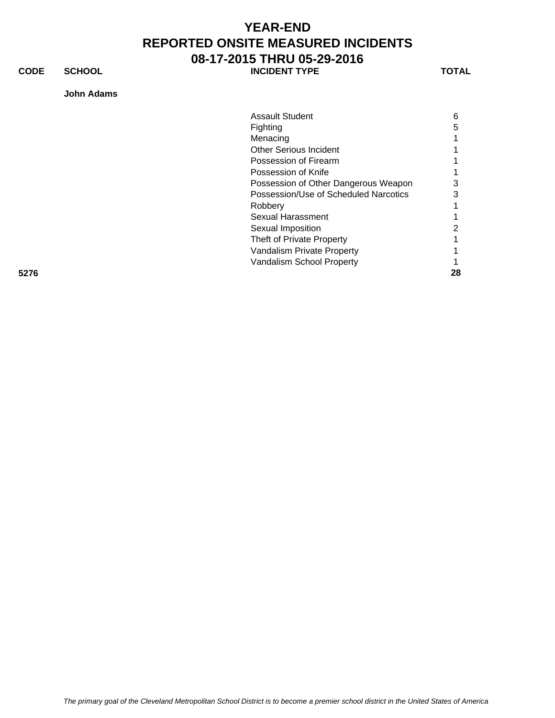**CODE SCHOOL SCHOOL INCIDENT TYPE TOTAL** 

### **John Adams**

|      | <b>Assault Student</b>                | 6  |
|------|---------------------------------------|----|
|      | Fighting                              | 5  |
|      | Menacing                              |    |
|      | <b>Other Serious Incident</b>         |    |
|      | Possession of Firearm                 |    |
|      | Possession of Knife                   |    |
|      | Possession of Other Dangerous Weapon  | 3  |
|      | Possession/Use of Scheduled Narcotics | 3  |
|      | Robbery                               |    |
|      | Sexual Harassment                     |    |
|      | Sexual Imposition                     | 2  |
|      | Theft of Private Property             |    |
|      | Vandalism Private Property            |    |
|      | Vandalism School Property             |    |
| 5276 |                                       | 28 |

*The primary goal of the Cleveland Metropolitan School District is to become a premier school district in the United States of America*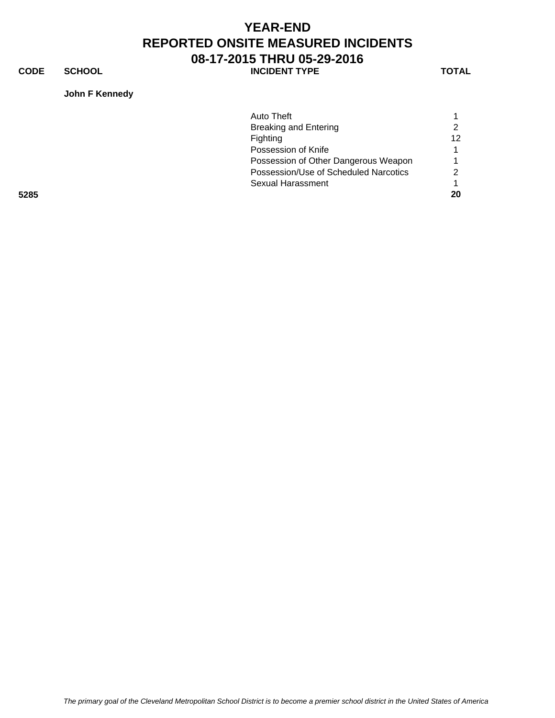**CODE SCHOOL SCHOOL INCIDENT TYPE TOTAL** 

**John F Kennedy**

|      | Auto Theft                            |    |
|------|---------------------------------------|----|
|      | <b>Breaking and Entering</b>          |    |
|      | Fighting                              | 12 |
|      | Possession of Knife                   |    |
|      | Possession of Other Dangerous Weapon  |    |
|      | Possession/Use of Scheduled Narcotics |    |
|      | Sexual Harassment                     |    |
| 5285 |                                       | 20 |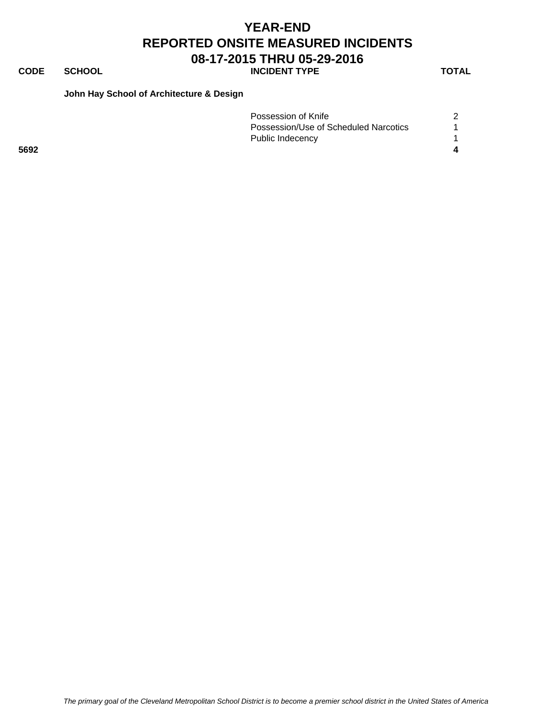### **CODE SCHOOL SCHOOL INCIDENT TYPE TOTAL**

#### **John Hay School of Architecture & Design**

|      | Possession of Knife                   |  |
|------|---------------------------------------|--|
|      | Possession/Use of Scheduled Narcotics |  |
|      | Public Indecency                      |  |
| 5692 |                                       |  |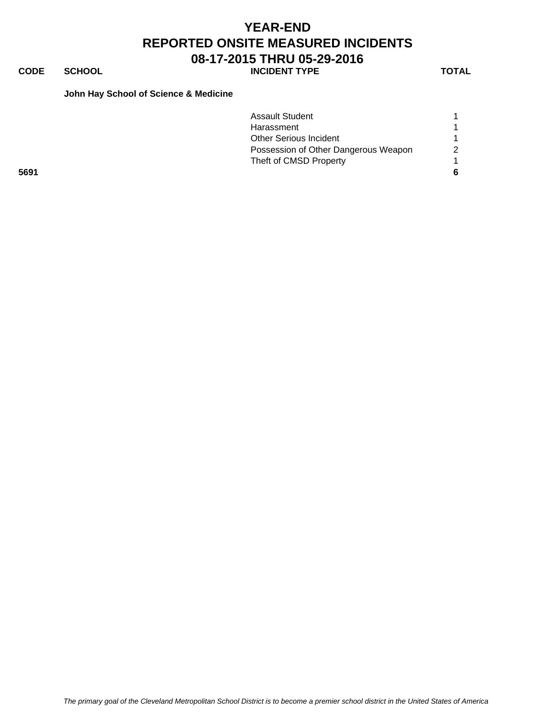# **CODE SCHOOL SCHOOL INCIDENT TYPE TOTAL**

### **John Hay School of Science & Medicine**

|      | <b>Assault Student</b>               |   |
|------|--------------------------------------|---|
|      | Harassment                           |   |
|      | <b>Other Serious Incident</b>        |   |
|      | Possession of Other Dangerous Weapon | 2 |
|      | Theft of CMSD Property               |   |
| 5691 |                                      |   |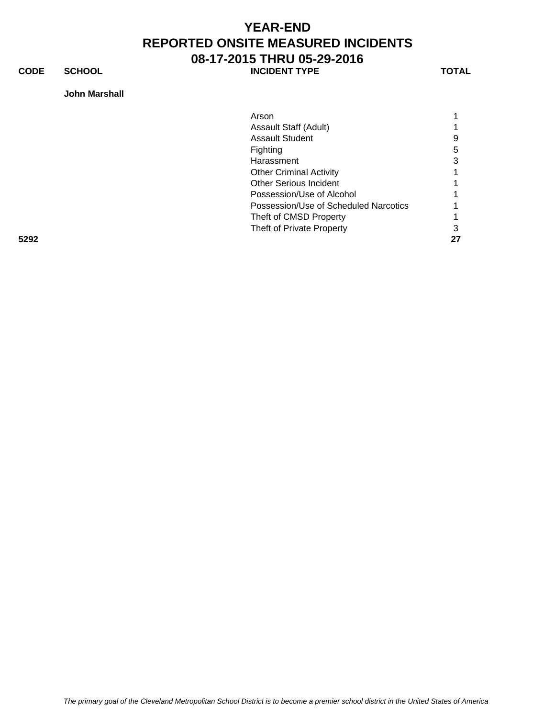**CODE SCHOOL SCHOOL INCIDENT TYPE TOTAL** 

### **John Marshall**

|      | Arson                                 |    |
|------|---------------------------------------|----|
|      | Assault Staff (Adult)                 |    |
|      | <b>Assault Student</b>                | 9  |
|      | Fighting                              | 5  |
|      | Harassment                            | 3  |
|      | <b>Other Criminal Activity</b>        |    |
|      | <b>Other Serious Incident</b>         |    |
|      | Possession/Use of Alcohol             |    |
|      | Possession/Use of Scheduled Narcotics |    |
|      | Theft of CMSD Property                |    |
|      | Theft of Private Property             | 3  |
| 5292 |                                       | 27 |

*The primary goal of the Cleveland Metropolitan School District is to become a premier school district in the United States of America*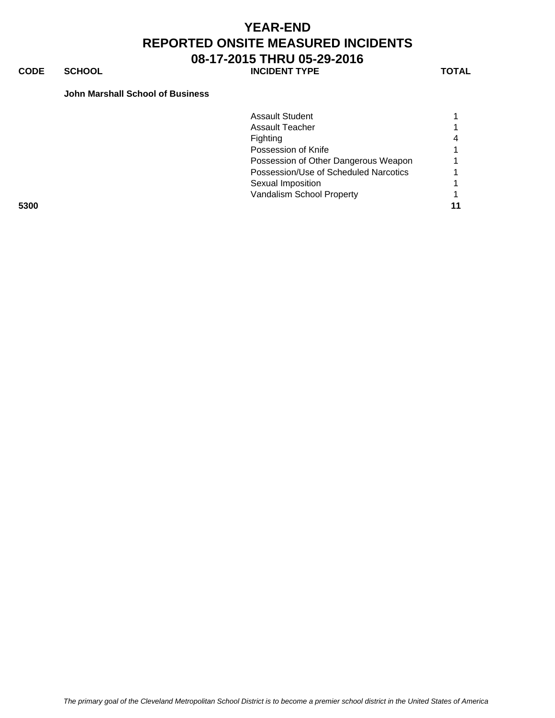**CODE SCHOOL SCHOOL INCIDENT TYPE TOTAL** 

#### **John Marshall School of Business**

|      | <b>Assault Student</b>                |    |
|------|---------------------------------------|----|
|      | Assault Teacher                       |    |
|      | Fighting                              | 4  |
|      | Possession of Knife                   |    |
|      | Possession of Other Dangerous Weapon  |    |
|      | Possession/Use of Scheduled Narcotics |    |
|      | Sexual Imposition                     |    |
|      | Vandalism School Property             |    |
| 5300 |                                       | 11 |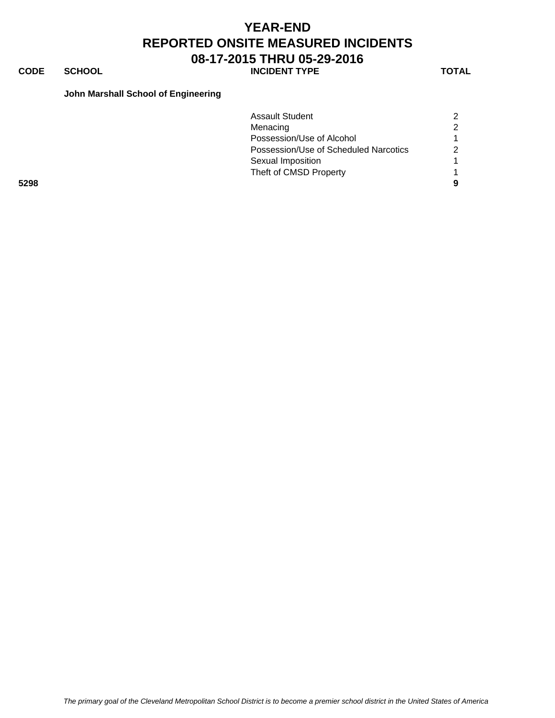**CODE SCHOOL SCHOOL INCIDENT TYPE TOTAL** 

#### **John Marshall School of Engineering**

|      | <b>Assault Student</b>                |  |
|------|---------------------------------------|--|
|      | Menacing                              |  |
|      | Possession/Use of Alcohol             |  |
|      | Possession/Use of Scheduled Narcotics |  |
|      | Sexual Imposition                     |  |
|      | Theft of CMSD Property                |  |
| 5298 |                                       |  |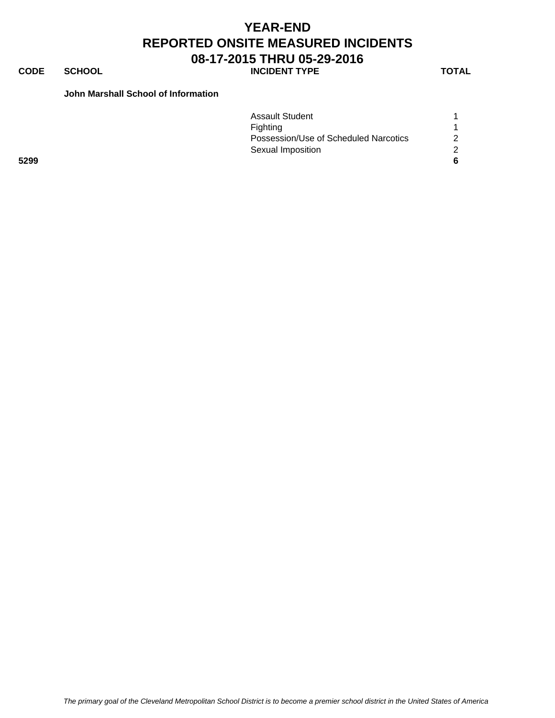### **CODE SCHOOL SCHOOL INCIDENT TYPE TOTAL**

### **John Marshall School of Information**

|      | <b>Assault Student</b>                |    |
|------|---------------------------------------|----|
|      | Fighting                              |    |
|      | Possession/Use of Scheduled Narcotics | 2  |
|      | Sexual Imposition                     | ົາ |
| 5299 |                                       | 6  |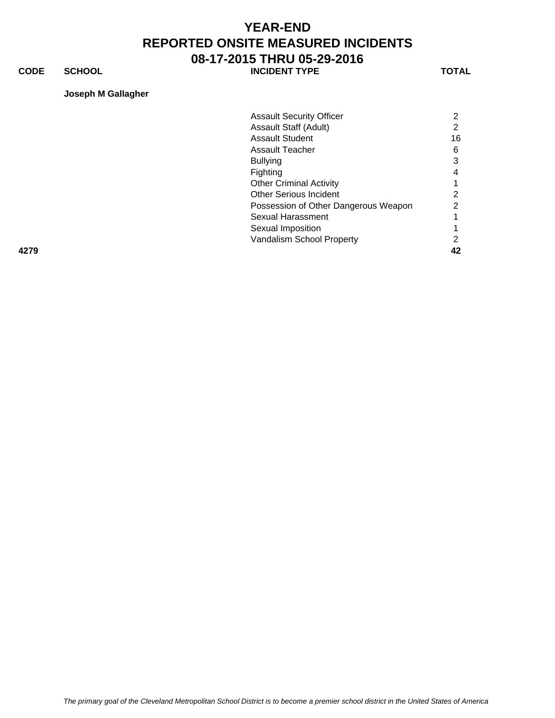**CODE SCHOOL SCHOOL INCIDENT TYPE TOTAL** 

### **Joseph M Gallagher**

| <b>Assault Security Officer</b> | $\mathbf{2}^{\prime}$                                                                                                                |
|---------------------------------|--------------------------------------------------------------------------------------------------------------------------------------|
| <b>Assault Staff (Adult)</b>    | 2                                                                                                                                    |
| <b>Assault Student</b>          | 16                                                                                                                                   |
| <b>Assault Teacher</b>          | 6                                                                                                                                    |
| <b>Bullying</b>                 | 3                                                                                                                                    |
|                                 | 4                                                                                                                                    |
|                                 |                                                                                                                                      |
| <b>Other Serious Incident</b>   | 2                                                                                                                                    |
|                                 | $\mathbf{2}^{\circ}$                                                                                                                 |
| Sexual Harassment               |                                                                                                                                      |
|                                 |                                                                                                                                      |
|                                 | 2                                                                                                                                    |
|                                 | 42                                                                                                                                   |
|                                 | Fighting<br><b>Other Criminal Activity</b><br>Possession of Other Dangerous Weapon<br>Sexual Imposition<br>Vandalism School Property |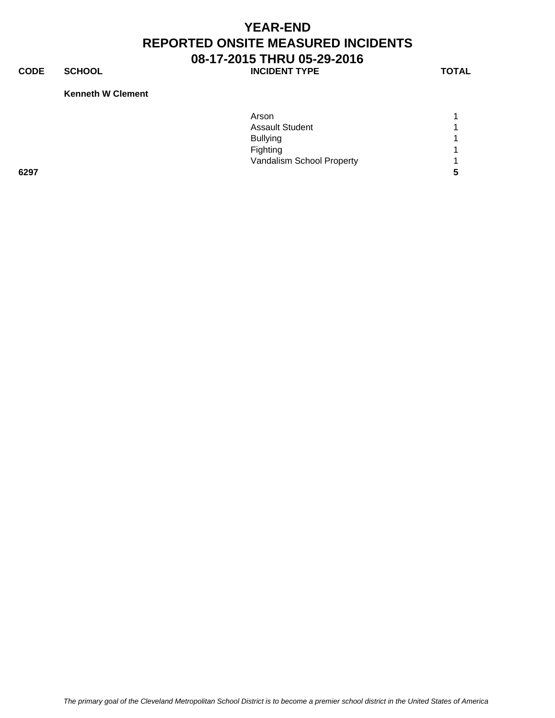**CODE SCHOOL SCHOOL INCIDENT TYPE TOTAL** 

#### **Kenneth W Clement**

|      | Arson                     |                |
|------|---------------------------|----------------|
|      | <b>Assault Student</b>    | $\overline{A}$ |
|      | <b>Bullying</b>           | $\overline{ }$ |
|      | Fighting                  | $\overline{A}$ |
|      | Vandalism School Property | $\overline{A}$ |
| 6297 |                           | 5              |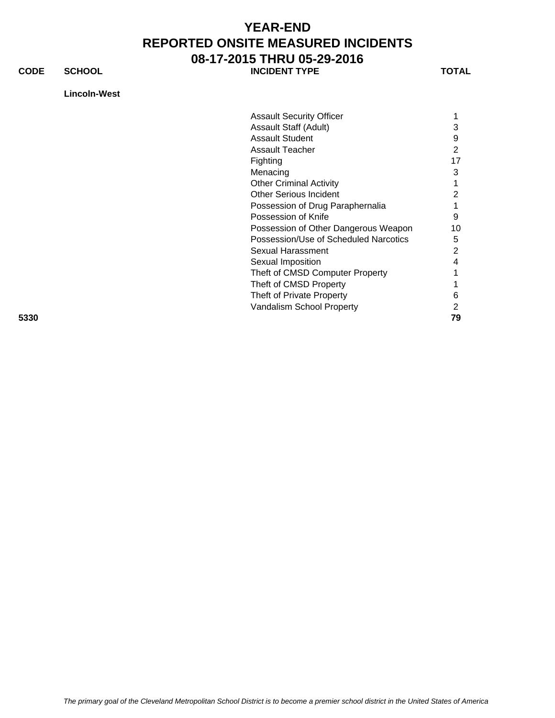**CODE SCHOOL SCHOOL INCIDENT TYPE TOTAL** 

**Lincoln-West**

| ×<br>۰, |
|---------|
|---------|

|                        | <b>Assault Security Officer</b>            |
|------------------------|--------------------------------------------|
|                        | Assault Staff (Adult)<br>3                 |
| <b>Assault Student</b> | 9                                          |
|                        |                                            |
| Assault Teacher        | 2                                          |
| Fighting               | 17                                         |
| Menacing               | 3                                          |
|                        | <b>Other Criminal Activity</b>             |
|                        | <b>Other Serious Incident</b>              |
|                        | Possession of Drug Paraphernalia           |
|                        | Possession of Knife<br>9                   |
|                        | Possession of Other Dangerous Weapon<br>10 |
|                        | Possession/Use of Scheduled Narcotics<br>5 |
|                        | Sexual Harassment<br>2                     |
| Sexual Imposition      | 4                                          |
|                        | Theft of CMSD Computer Property            |
|                        | Theft of CMSD Property                     |
|                        | Theft of Private Property<br>6             |
|                        | Vandalism School Property                  |
| 5330                   | 79                                         |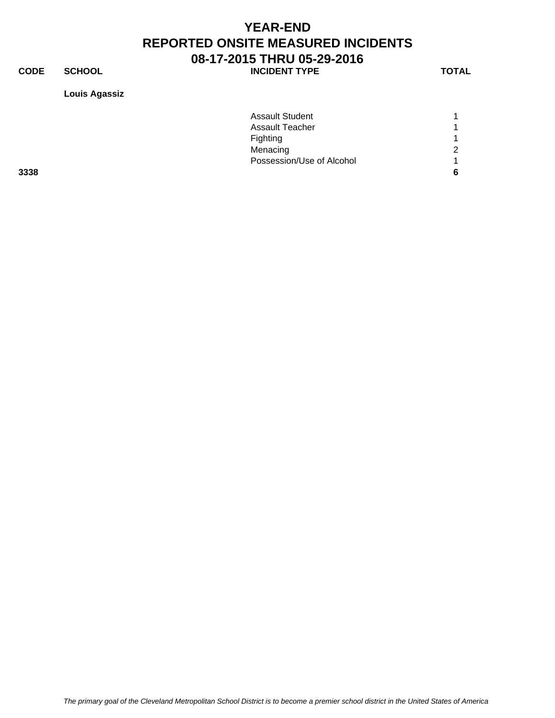**CODE SCHOOL SCHOOL INCIDENT TYPE TOTAL** 

**Louis Agassiz**

|      | <b>Assault Student</b>    |   |
|------|---------------------------|---|
|      | <b>Assault Teacher</b>    |   |
|      | Fighting                  |   |
|      | Menacing                  | 2 |
|      | Possession/Use of Alcohol | и |
| 3338 |                           | 6 |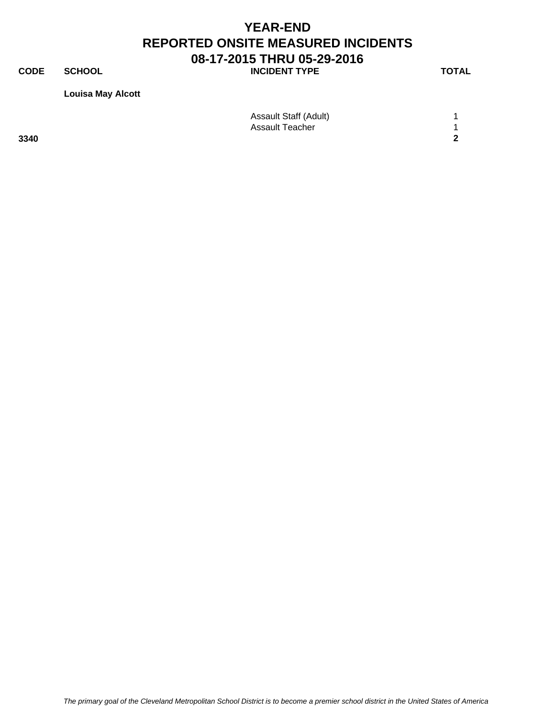**CODE SCHOOL SCHOOL INCIDENT TYPE TOTAL** 

**Louisa May Alcott**

|      | Assault Staff (Adult) |   |
|------|-----------------------|---|
|      | Assault Teacher       |   |
| 3340 |                       | ◠ |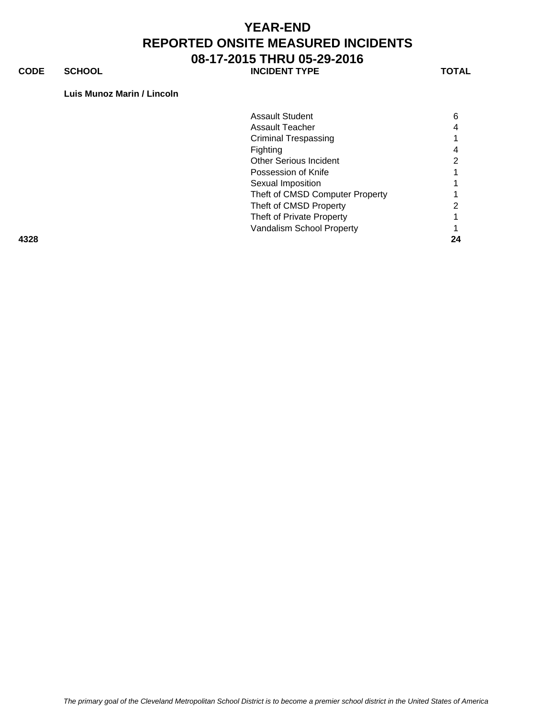**CODE SCHOOL SCHOOL INCIDENT TYPE TOTAL** 

#### **Luis Munoz Marin / Lincoln**

|      | <b>Assault Student</b>          | 6  |
|------|---------------------------------|----|
|      | Assault Teacher                 |    |
|      | <b>Criminal Trespassing</b>     |    |
|      | Fighting                        |    |
|      | <b>Other Serious Incident</b>   |    |
|      | Possession of Knife             |    |
|      | Sexual Imposition               |    |
|      | Theft of CMSD Computer Property |    |
|      | Theft of CMSD Property          |    |
|      | Theft of Private Property       |    |
|      | Vandalism School Property       |    |
| 4328 |                                 | 24 |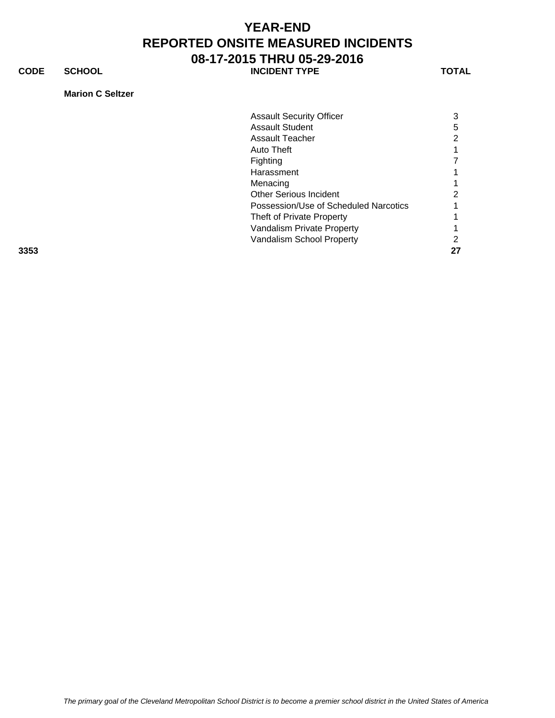**CODE SCHOOL SCHOOL INCIDENT TYPE TOTAL** 

**Marion C Seltzer**

|      | <b>Assault Security Officer</b>       | 3  |
|------|---------------------------------------|----|
|      | <b>Assault Student</b>                | 5  |
|      | <b>Assault Teacher</b>                | 2  |
|      | Auto Theft                            |    |
|      | <b>Fighting</b>                       |    |
|      | Harassment                            |    |
|      | Menacing                              |    |
|      | <b>Other Serious Incident</b>         | っ  |
|      | Possession/Use of Scheduled Narcotics |    |
|      | Theft of Private Property             |    |
|      | Vandalism Private Property            |    |
|      | Vandalism School Property             | ?  |
| 3353 |                                       | 27 |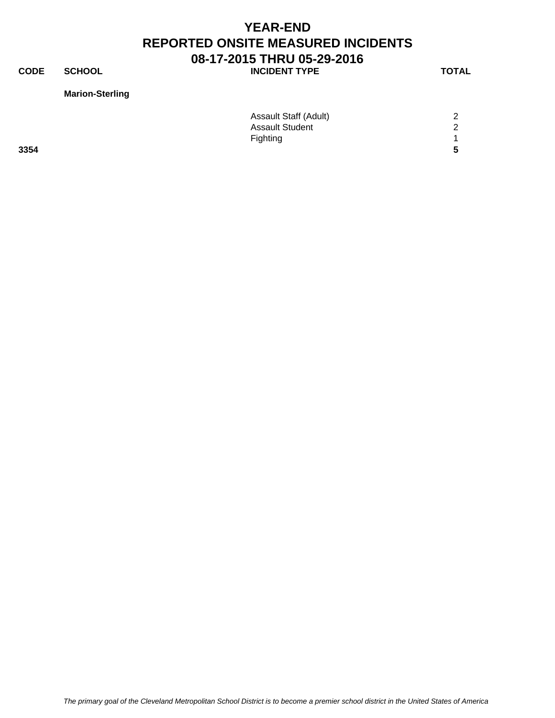**CODE SCHOOL SCHOOL INCIDENT TYPE TOTAL** 

### **Marion-Sterling**

|      | <b>Assault Staff (Adult)</b> | 2             |
|------|------------------------------|---------------|
|      | <b>Assault Student</b>       | $\mathcal{D}$ |
|      | Fighting                     |               |
| 3354 |                              | 5             |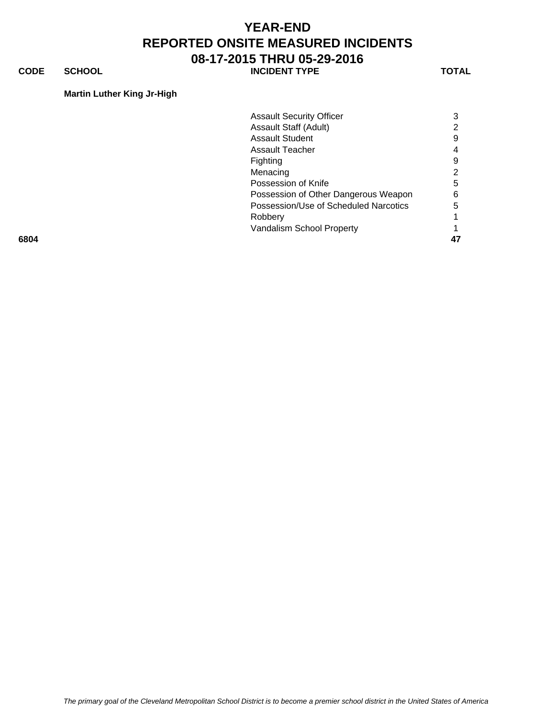**CODE SCHOOL SCHOOL INCIDENT TYPE TOTAL** 

#### **Martin Luther King Jr-High**

| 6804 |                                       | 47 |
|------|---------------------------------------|----|
|      | Vandalism School Property             |    |
|      | Robbery                               |    |
|      | Possession/Use of Scheduled Narcotics | 5  |
|      | Possession of Other Dangerous Weapon  | 6  |
|      | Possession of Knife                   | 5  |
|      | Menacing                              |    |
|      | Fighting                              | 9  |
|      | Assault Teacher                       | 4  |
|      | <b>Assault Student</b>                | 9  |
|      | Assault Staff (Adult)                 |    |
|      | <b>Assault Security Officer</b>       | 3  |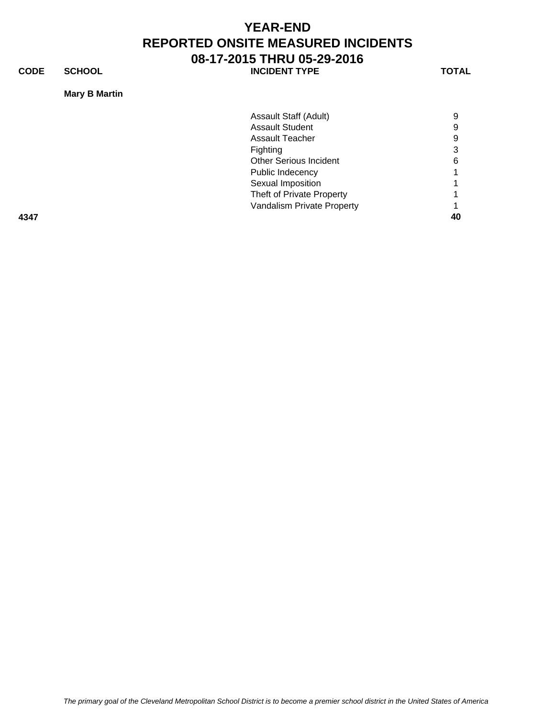**CODE SCHOOL SCHOOL INCIDENT TYPE TOTAL** 

### **Mary B Martin**

|      | Assault Staff (Adult)         | 9 |
|------|-------------------------------|---|
|      | <b>Assault Student</b>        | 9 |
|      | <b>Assault Teacher</b>        | 9 |
|      | Fighting                      | 3 |
|      | <b>Other Serious Incident</b> | 6 |
|      | Public Indecency              |   |
|      | Sexual Imposition             |   |
|      | Theft of Private Property     |   |
|      | Vandalism Private Property    |   |
| 4347 |                               |   |
|      |                               |   |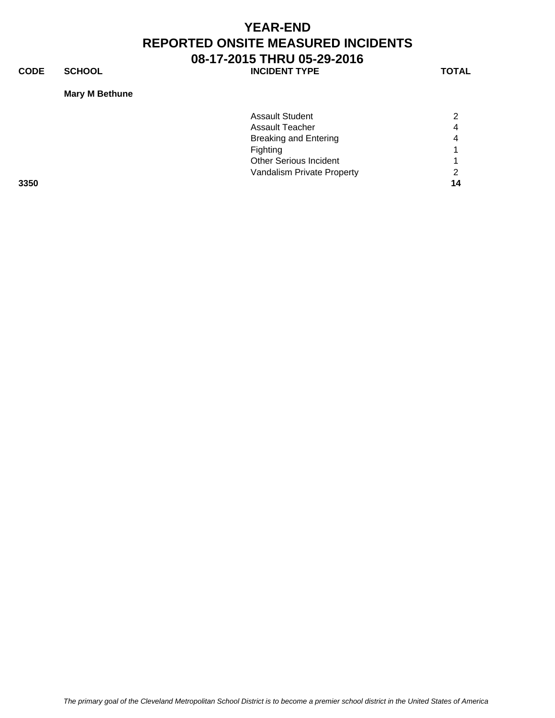**CODE SCHOOL SCHOOL INCIDENT TYPE TOTAL** 

### **Mary M Bethune**

|      | <b>Assault Student</b>        |    |
|------|-------------------------------|----|
|      |                               |    |
|      | Assault Teacher               | 4  |
|      | <b>Breaking and Entering</b>  | 4  |
|      | <b>Fighting</b>               |    |
|      | <b>Other Serious Incident</b> |    |
|      | Vandalism Private Property    | ◠  |
| 3350 |                               | 14 |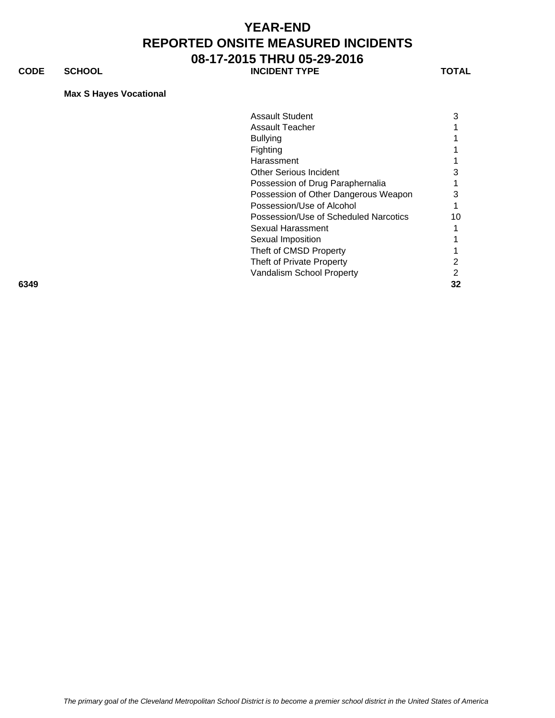**CODE SCHOOL SCHOOL INCIDENT TYPE TOTAL** 

#### **Max S Hayes Vocational**

|      | <b>Assault Student</b>                | 3  |
|------|---------------------------------------|----|
|      |                                       |    |
|      | <b>Assault Teacher</b>                |    |
|      | <b>Bullying</b>                       |    |
|      | Fighting                              |    |
|      | Harassment                            |    |
|      | <b>Other Serious Incident</b>         | 3  |
|      | Possession of Drug Paraphernalia      |    |
|      | Possession of Other Dangerous Weapon  | 3  |
|      | Possession/Use of Alcohol             |    |
|      | Possession/Use of Scheduled Narcotics | 10 |
|      | Sexual Harassment                     |    |
|      | Sexual Imposition                     |    |
|      | Theft of CMSD Property                |    |
|      | Theft of Private Property             | 2  |
|      | Vandalism School Property             | 2  |
| 6349 |                                       | 32 |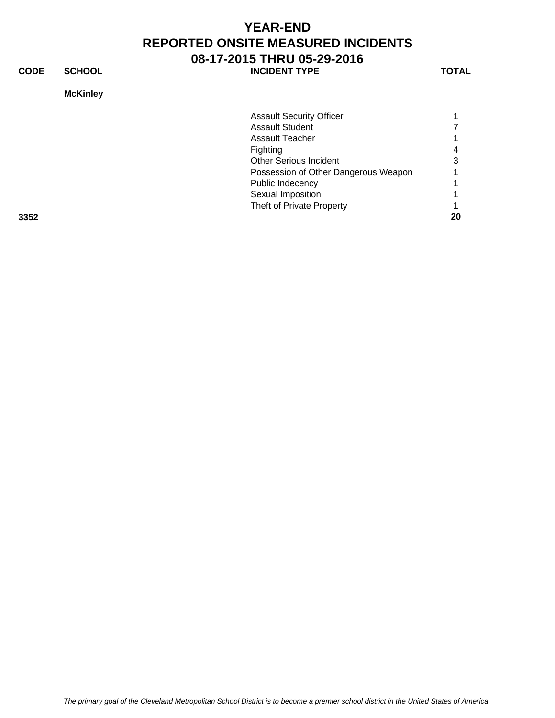**CODE SCHOOL SCHOOL INCIDENT TYPE TOTAL** 

### **McKinley**

|      | <b>Assault Security Officer</b>      |    |
|------|--------------------------------------|----|
|      | <b>Assault Student</b>               |    |
|      | Assault Teacher                      |    |
|      | Fighting                             |    |
|      | <b>Other Serious Incident</b>        | З  |
|      | Possession of Other Dangerous Weapon |    |
|      | Public Indecency                     |    |
|      | Sexual Imposition                    |    |
|      | Theft of Private Property            |    |
| 3352 |                                      | 20 |
|      |                                      |    |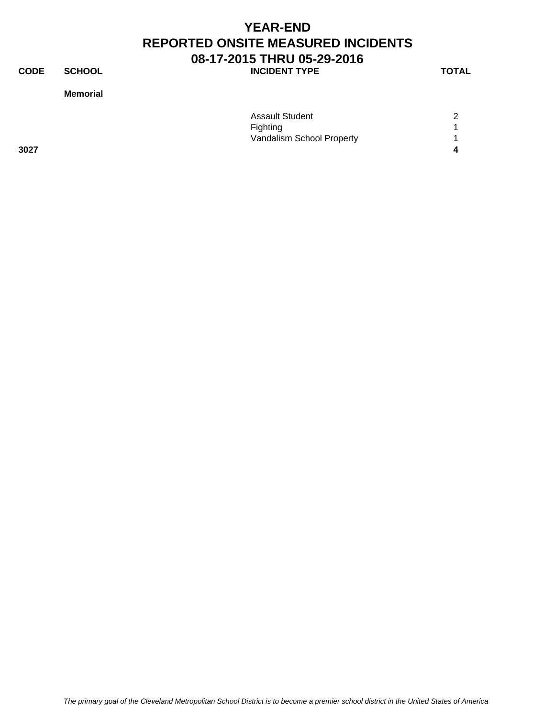**CODE SCHOOL SCHOOL INCIDENT TYPE TOTAL** 

#### **Memorial**

|      | <b>Assault Student</b>    | 2 |
|------|---------------------------|---|
|      | Fighting                  |   |
|      | Vandalism School Property |   |
| 3027 |                           |   |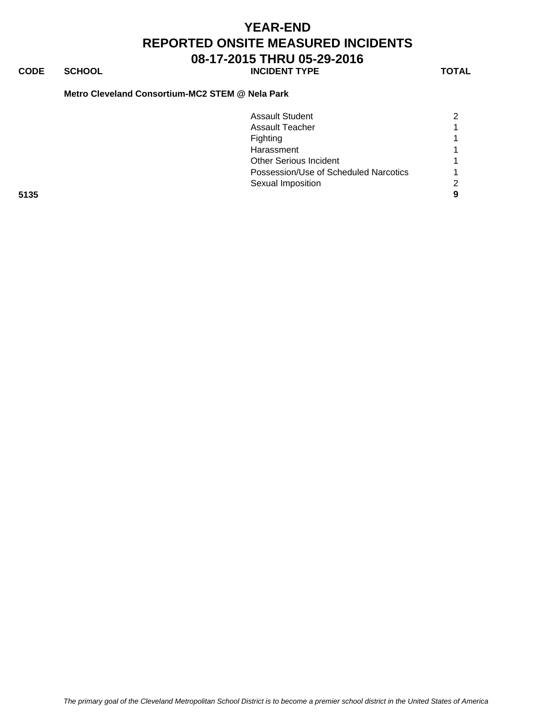### **CODE SCHOOL SCHOOL INCIDENT TYPE TOTAL**

#### **Metro Cleveland Consortium-MC2 STEM @ Nela Park**

|      | <b>Assault Student</b>                |  |
|------|---------------------------------------|--|
|      | <b>Assault Teacher</b>                |  |
|      | Fighting                              |  |
|      | Harassment                            |  |
|      | <b>Other Serious Incident</b>         |  |
|      | Possession/Use of Scheduled Narcotics |  |
|      | Sexual Imposition                     |  |
| 5135 |                                       |  |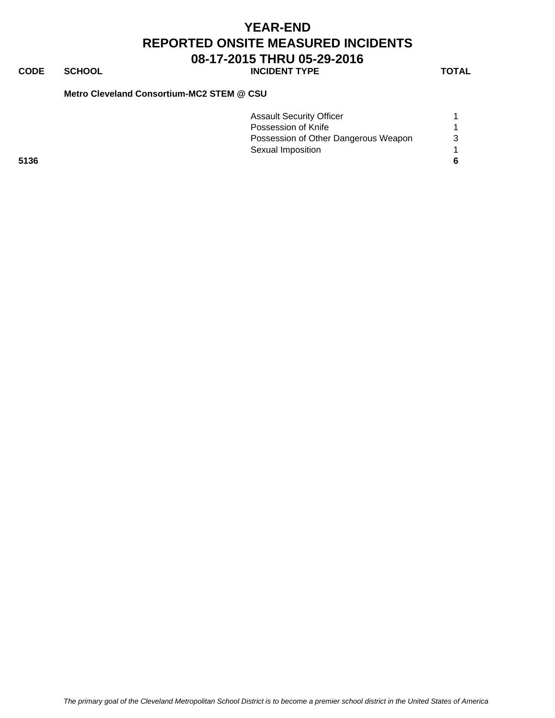### **CODE SCHOOL SCHOOL INCIDENT TYPE TOTAL**

### **Metro Cleveland Consortium-MC2 STEM @ CSU**

|      | <b>Assault Security Officer</b>      |  |
|------|--------------------------------------|--|
|      | Possession of Knife                  |  |
|      | Possession of Other Dangerous Weapon |  |
|      | Sexual Imposition                    |  |
| 5136 |                                      |  |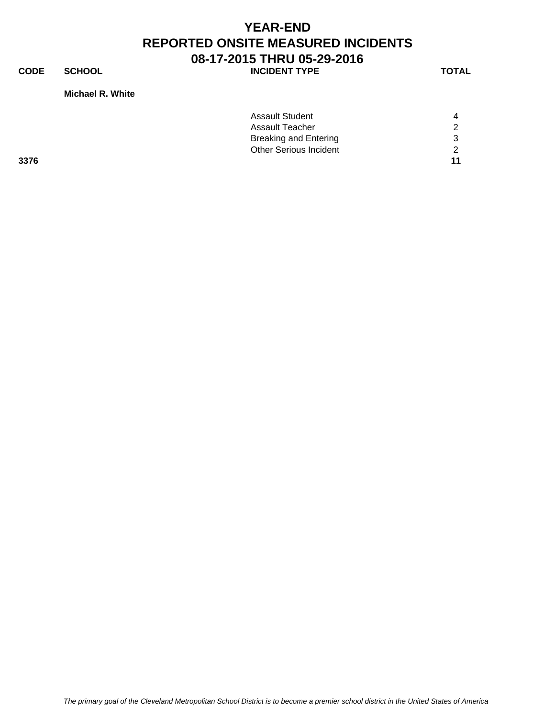**CODE SCHOOL SCHOOL INCIDENT TYPE TOTAL** 

#### **Michael R. White**

|      | <b>Assault Student</b>        | 4             |
|------|-------------------------------|---------------|
|      | <b>Assault Teacher</b>        | $\mathcal{P}$ |
|      | <b>Breaking and Entering</b>  | 3             |
|      | <b>Other Serious Incident</b> | $\mathcal{D}$ |
| 3376 |                               | 11            |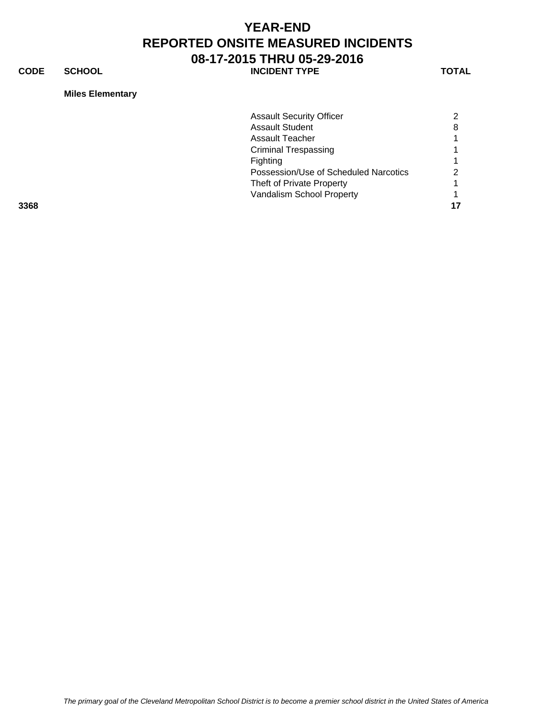**CODE SCHOOL SCHOOL INCIDENT TYPE TOTAL** 

**Miles Elementary**

|      | <b>Assault Security Officer</b>       | ົ |
|------|---------------------------------------|---|
|      |                                       |   |
|      | <b>Assault Student</b>                | 8 |
|      | Assault Teacher                       |   |
|      | <b>Criminal Trespassing</b>           |   |
|      | Fighting                              |   |
|      | Possession/Use of Scheduled Narcotics |   |
|      | Theft of Private Property             |   |
|      | Vandalism School Property             |   |
| 3368 |                                       |   |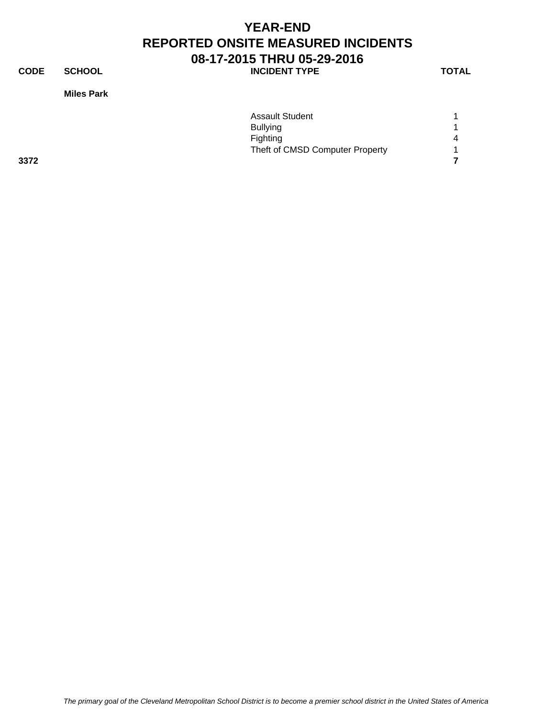**CODE SCHOOL SCHOOL INCIDENT TYPE TOTAL** 

**Miles Park**

|      | <b>Assault Student</b>          |                       |
|------|---------------------------------|-----------------------|
|      | <b>Bullying</b>                 |                       |
|      | Fighting                        | $\boldsymbol{\Delta}$ |
|      | Theft of CMSD Computer Property | $\overline{ }$        |
| 3372 |                                 |                       |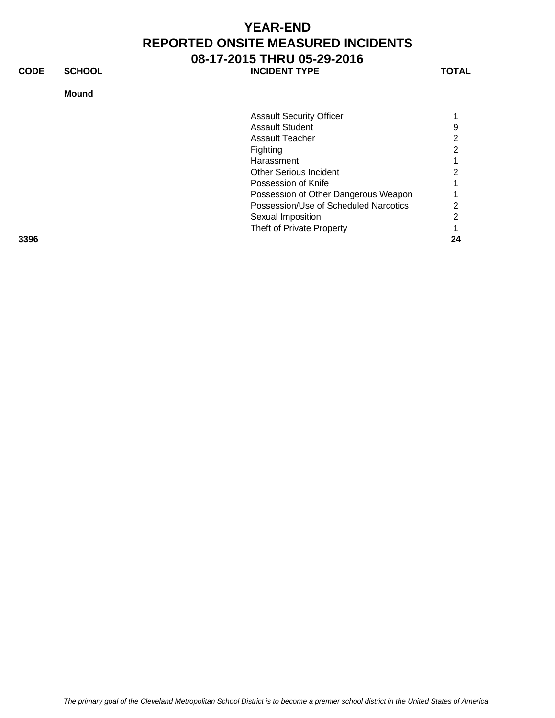**CODE SCHOOL SCHOOL INCIDENT TYPE TOTAL** 

### **Mound**

| <b>Assault Security Officer</b> |   |
|---------------------------------|---|
| <b>Assault Student</b>          | 9 |
| Assault Teacher                 | 2 |
| Fighting                        | 2 |
| Harassment                      |   |
| <b>Other Serious Incident</b>   | 2 |
| Possession of Knife             |   |

Sexual Imposition 2 Theft of Private Property 1

**3396 24**

Possession of Other Dangerous Weapon 1<br>Possession/Use of Scheduled Narcotics 2 Possession/Use of Scheduled Narcotics 2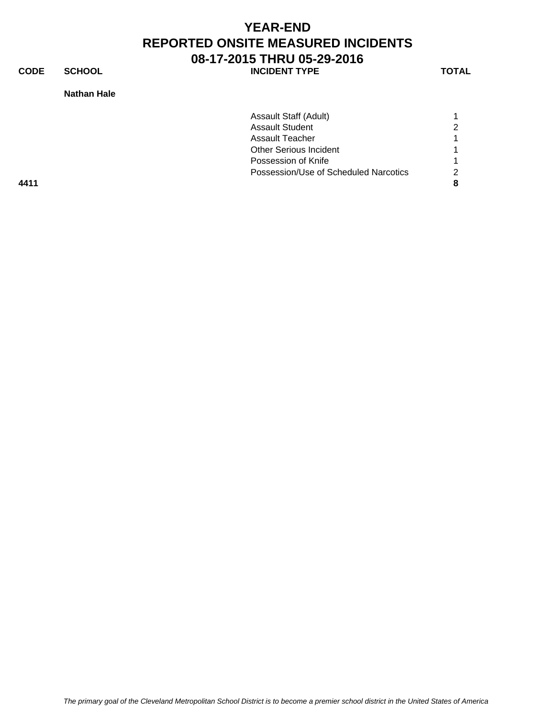**CODE SCHOOL SCHOOL INCIDENT TYPE TOTAL** 

### **Nathan Hale**

| Assault Staff (Adult)                 |   |
|---------------------------------------|---|
| <b>Assault Student</b>                | ⌒ |
| <b>Assault Teacher</b>                |   |
| <b>Other Serious Incident</b>         |   |
| Possession of Knife                   |   |
| Possession/Use of Scheduled Narcotics |   |
|                                       |   |
|                                       |   |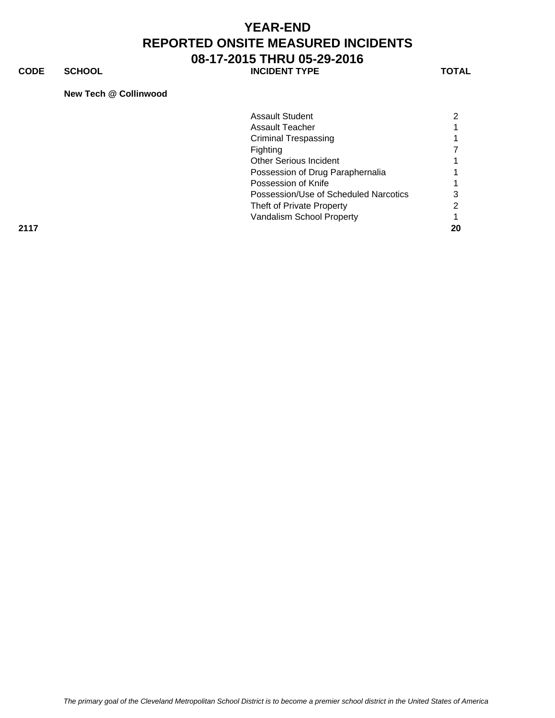**CODE SCHOOL SCHOOL INCIDENT TYPE TOTAL** 

#### **New Tech @ Collinwood**

|      | <b>Assault Student</b>                |    |
|------|---------------------------------------|----|
|      | Assault Teacher                       |    |
|      | <b>Criminal Trespassing</b>           |    |
|      | <b>Fighting</b>                       |    |
|      | <b>Other Serious Incident</b>         |    |
|      | Possession of Drug Paraphernalia      |    |
|      | Possession of Knife                   |    |
|      | Possession/Use of Scheduled Narcotics | 3  |
|      | Theft of Private Property             | ◠  |
|      | Vandalism School Property             |    |
| 2117 |                                       | 20 |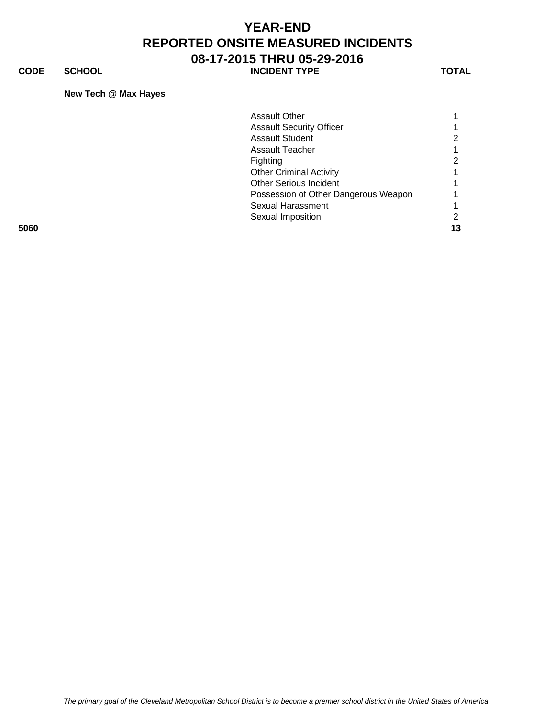**CODE SCHOOL SCHOOL INCIDENT TYPE TOTAL** 

### **New Tech @ Max Hayes**

|      | Assault Other                        |    |
|------|--------------------------------------|----|
|      | <b>Assault Security Officer</b>      |    |
|      | <b>Assault Student</b>               |    |
|      | Assault Teacher                      |    |
|      | Fighting                             |    |
|      | <b>Other Criminal Activity</b>       |    |
|      | <b>Other Serious Incident</b>        |    |
|      | Possession of Other Dangerous Weapon |    |
|      | Sexual Harassment                    |    |
|      | Sexual Imposition                    |    |
| 5060 |                                      | 13 |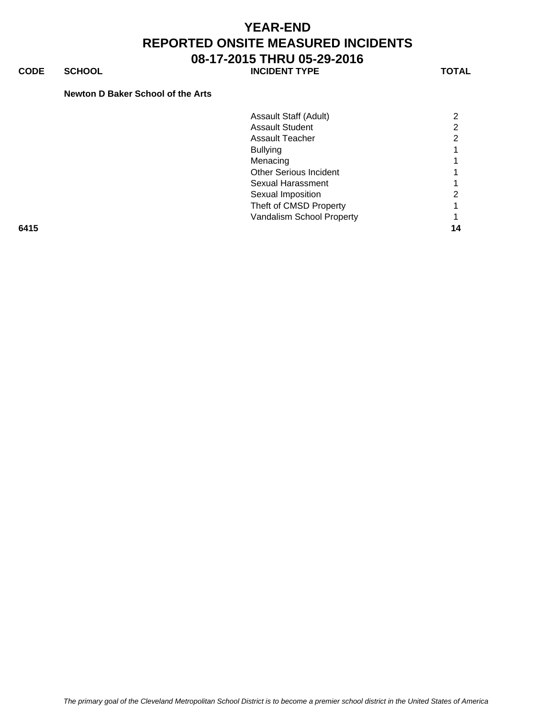**CODE SCHOOL SCHOOL INCIDENT TYPE TOTAL** 

#### **Newton D Baker School of the Arts**

|      | Assault Staff (Adult)         | ⌒  |
|------|-------------------------------|----|
|      | <b>Assault Student</b>        |    |
|      | Assault Teacher               | ⌒  |
|      | <b>Bullying</b>               |    |
|      | Menacing                      |    |
|      | <b>Other Serious Incident</b> |    |
|      | Sexual Harassment             |    |
|      | Sexual Imposition             | ົ  |
|      | Theft of CMSD Property        |    |
|      | Vandalism School Property     |    |
| 6415 |                               | 14 |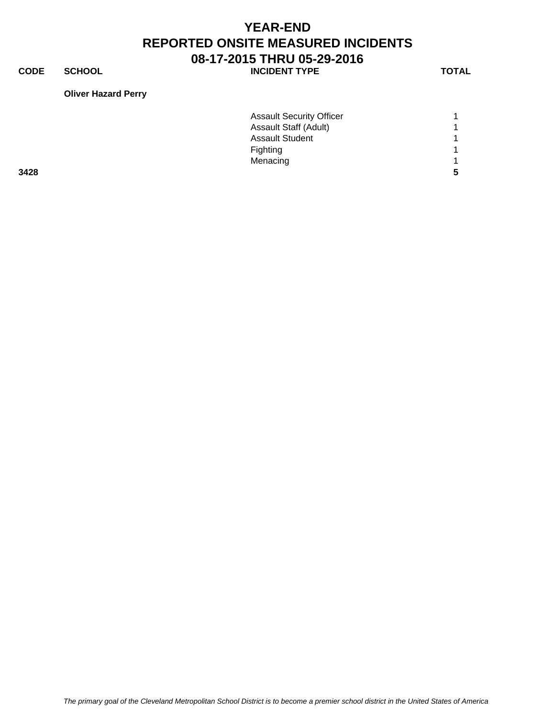**CODE SCHOOL SCHOOL INCIDENT TYPE TOTAL** 

# **Oliver Hazard Perry**

Assault Security Officer 1 Assault Staff (Adult) 1 Assault Student 1 1 Fighting 1 Menacing 1 **3428 5**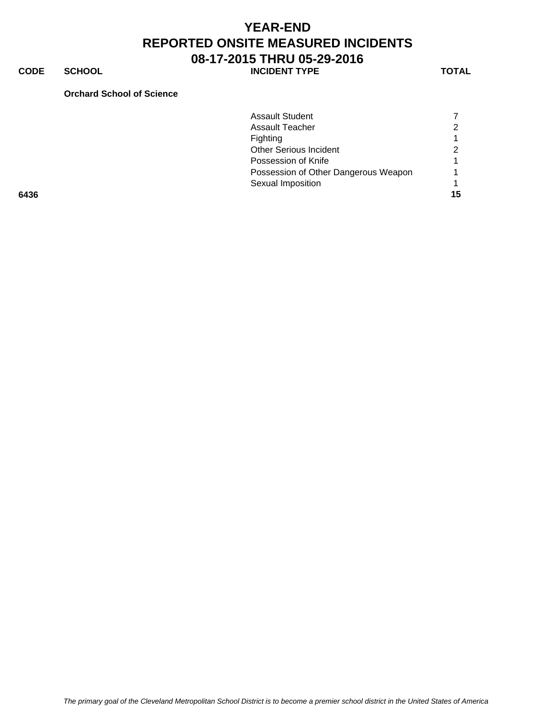**CODE SCHOOL SCHOOL INCIDENT TYPE TOTAL** 

#### **Orchard School of Science**

|      | <b>Assault Student</b>               |    |
|------|--------------------------------------|----|
|      | <b>Assault Teacher</b>               | ◠  |
|      | Fighting                             |    |
|      | <b>Other Serious Incident</b>        |    |
|      | Possession of Knife                  |    |
|      | Possession of Other Dangerous Weapon |    |
|      | Sexual Imposition                    |    |
| 6436 |                                      | 15 |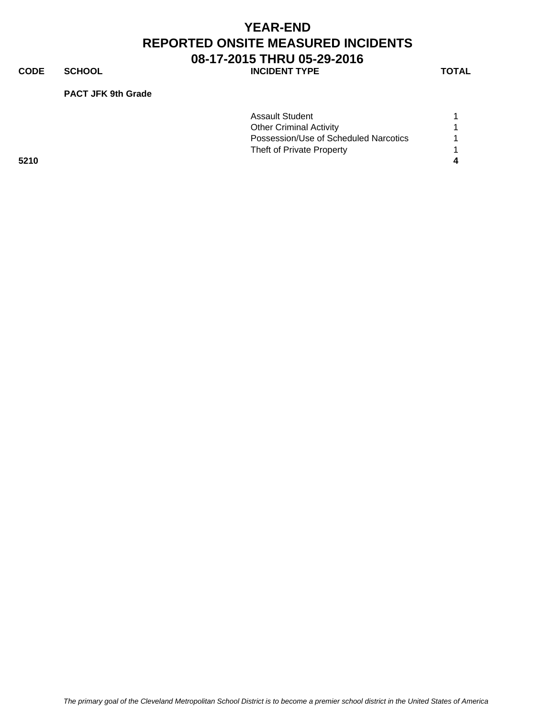**CODE SCHOOL SCHOOL** INCIDENT TYPE TOTAL

#### **PACT JFK 9th Grade**

|      | <b>Assault Student</b>                |  |
|------|---------------------------------------|--|
|      | <b>Other Criminal Activity</b>        |  |
|      | Possession/Use of Scheduled Narcotics |  |
|      | Theft of Private Property             |  |
| 5210 |                                       |  |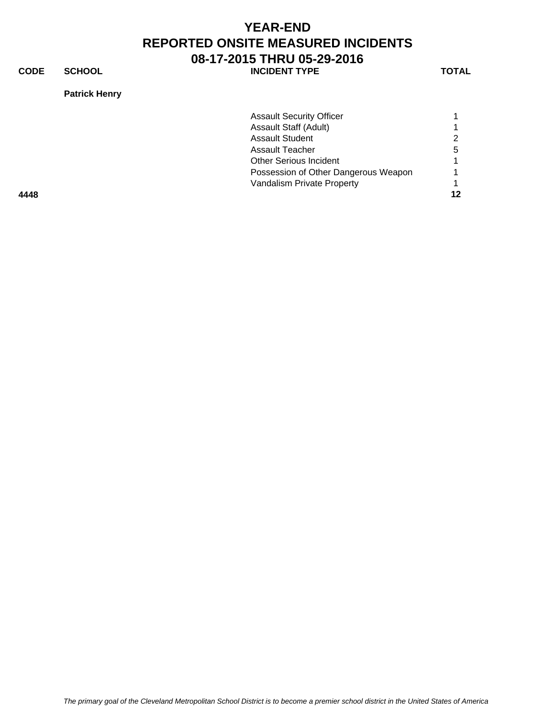**CODE SCHOOL SCHOOL INCIDENT TYPE TOTAL** 

**Patrick Henry**

|      | <b>Assault Security Officer</b>      |   |
|------|--------------------------------------|---|
|      | <b>Assault Staff (Adult)</b>         |   |
|      | <b>Assault Student</b>               |   |
|      | Assault Teacher                      | 5 |
|      | <b>Other Serious Incident</b>        |   |
|      | Possession of Other Dangerous Weapon |   |
|      | Vandalism Private Property           |   |
| 4448 |                                      |   |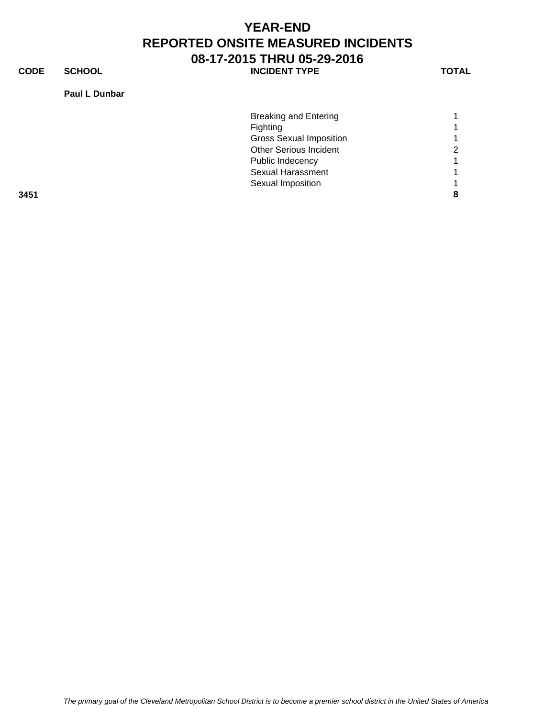**CODE SCHOOL SCHOOL INCIDENT TYPE TOTAL** 

### **Paul L Dunbar**

|      | <b>Breaking and Entering</b>   |   |
|------|--------------------------------|---|
|      | Fighting                       |   |
|      | <b>Gross Sexual Imposition</b> |   |
|      | <b>Other Serious Incident</b>  | ⌒ |
|      | Public Indecency               |   |
|      | <b>Sexual Harassment</b>       |   |
|      | Sexual Imposition              |   |
| 3451 |                                |   |
|      |                                |   |

*The primary goal of the Cleveland Metropolitan School District is to become a premier school district in the United States of America*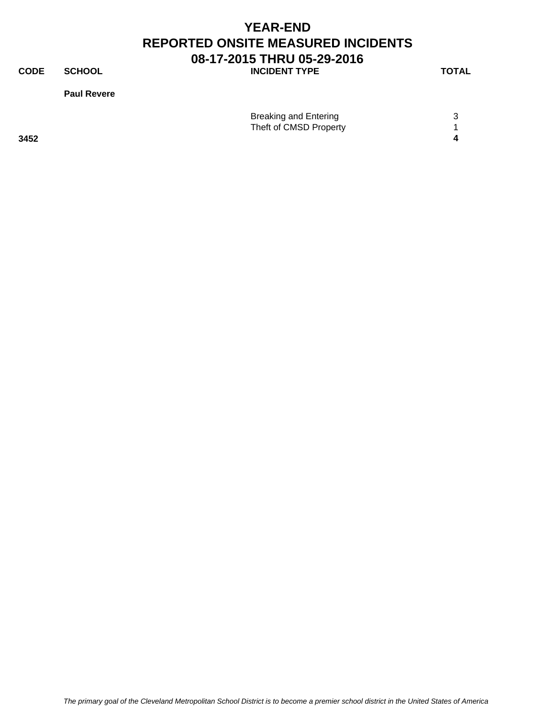**CODE SCHOOL SCHOOL** INCIDENT TYPE TOTAL

**Paul Revere**

|      | <b>Breaking and Entering</b> |  |
|------|------------------------------|--|
|      | Theft of CMSD Property       |  |
| 3452 |                              |  |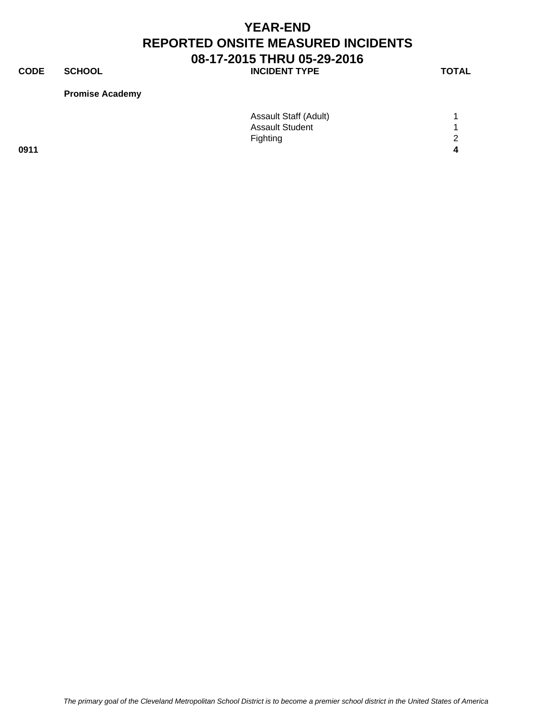**CODE SCHOOL SCHOOL INCIDENT TYPE TOTAL** 

### **Promise Academy**

|      | <b>Assault Staff (Adult)</b> |   |
|------|------------------------------|---|
|      | <b>Assault Student</b>       |   |
|      | Fighting                     | 2 |
| 0911 |                              |   |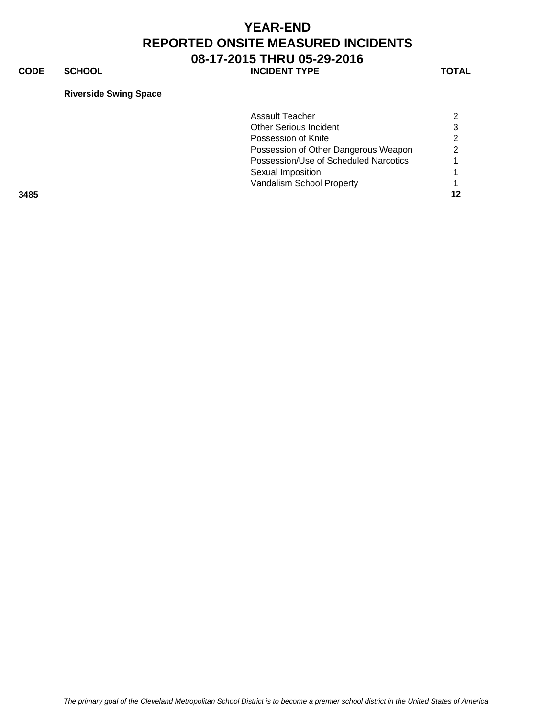**CODE SCHOOL SCHOOL INCIDENT TYPE TOTAL** 

#### **Riverside Swing Space**

|      | Assault Teacher                       |  |
|------|---------------------------------------|--|
|      | <b>Other Serious Incident</b>         |  |
|      | Possession of Knife                   |  |
|      | Possession of Other Dangerous Weapon  |  |
|      | Possession/Use of Scheduled Narcotics |  |
|      | Sexual Imposition                     |  |
|      | Vandalism School Property             |  |
| 3485 |                                       |  |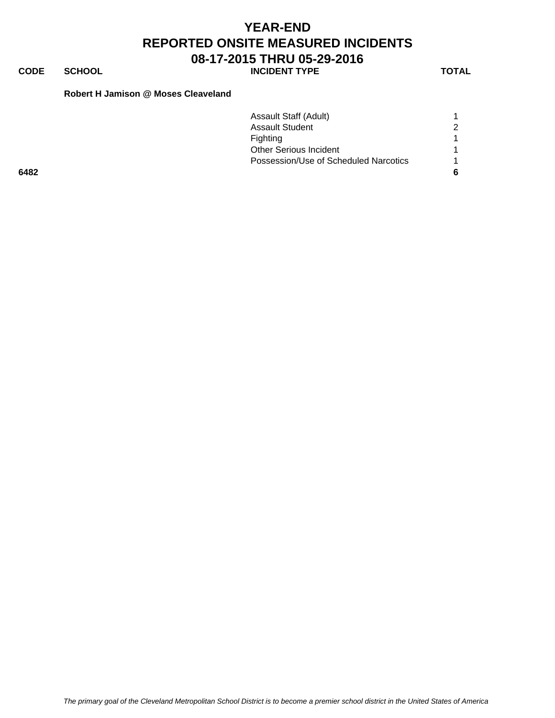# **CODE SCHOOL SCHOOL INCIDENT TYPE TOTAL**

### **Robert H Jamison @ Moses Cleaveland**

|      | Assault Staff (Adult)                 |  |
|------|---------------------------------------|--|
|      | <b>Assault Student</b>                |  |
|      | Fighting                              |  |
|      | <b>Other Serious Incident</b>         |  |
|      | Possession/Use of Scheduled Narcotics |  |
| 6482 |                                       |  |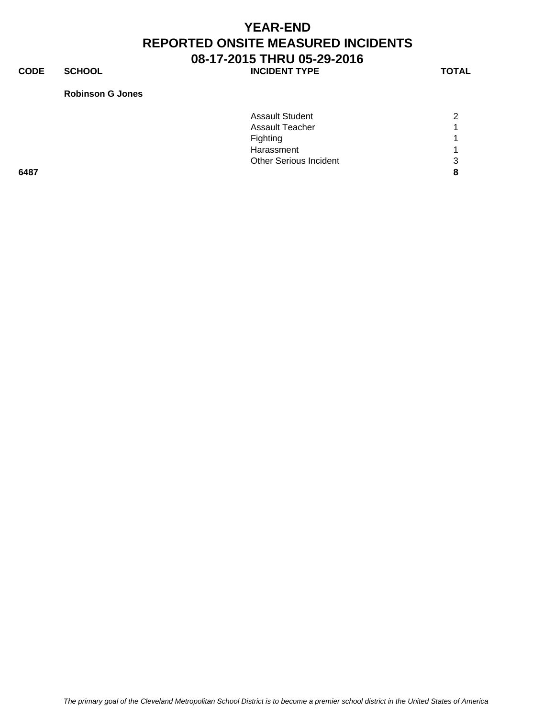**CODE SCHOOL SCHOOL INCIDENT TYPE TOTAL** 

#### **Robinson G Jones**

|      | <b>Assault Student</b>        | ⌒ |
|------|-------------------------------|---|
|      | <b>Assault Teacher</b>        |   |
|      | Fighting                      |   |
|      | Harassment                    |   |
|      | <b>Other Serious Incident</b> | ⌒ |
| 6487 |                               |   |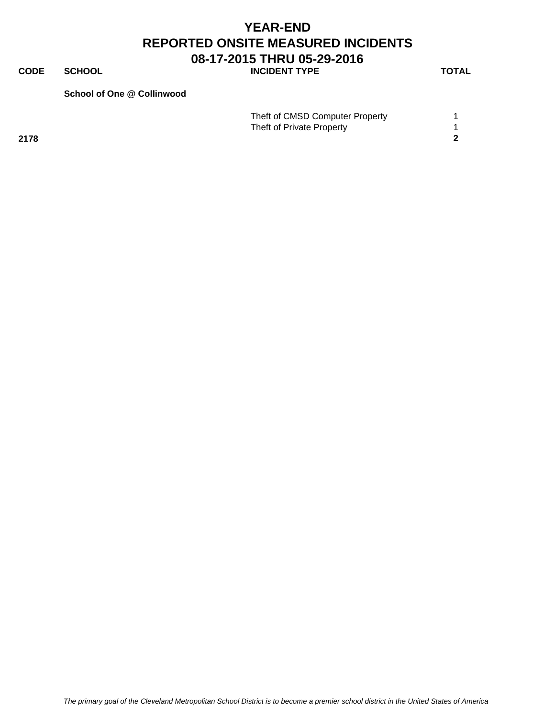**CODE SCHOOL SCHOOL INCIDENT TYPE TOTAL** 

#### **School of One @ Collinwood**

|      | Theft of CMSD Computer Property |  |
|------|---------------------------------|--|
|      | Theft of Private Property       |  |
| 2178 |                                 |  |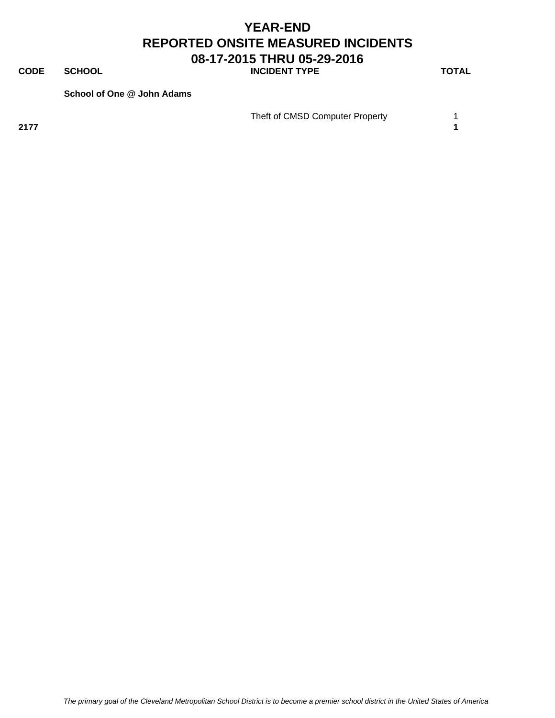**CODE SCHOOL SCHOOL INCIDENT TYPE TOTAL** 

**School of One @ John Adams**

Theft of CMSD Computer Property 1

**2177 1**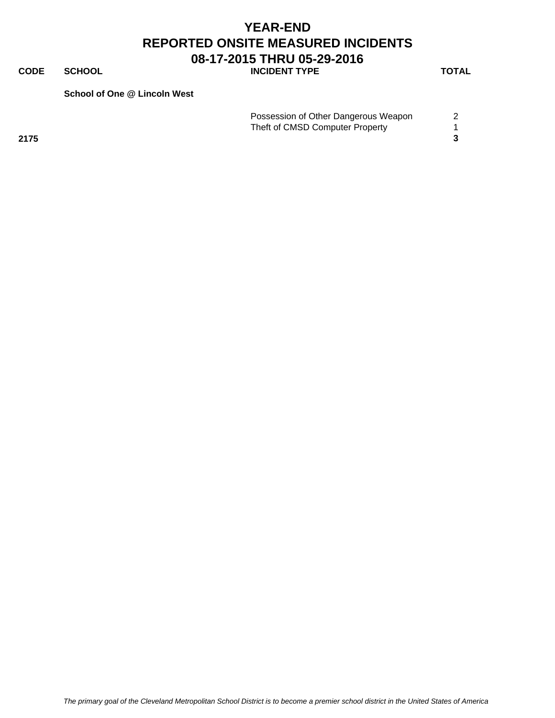**CODE SCHOOL SCHOOL INCIDENT TYPE TOTAL** 

**School of One @ Lincoln West**

|      | Possession of Other Dangerous Weapon |  |
|------|--------------------------------------|--|
|      | Theft of CMSD Computer Property      |  |
| 2175 |                                      |  |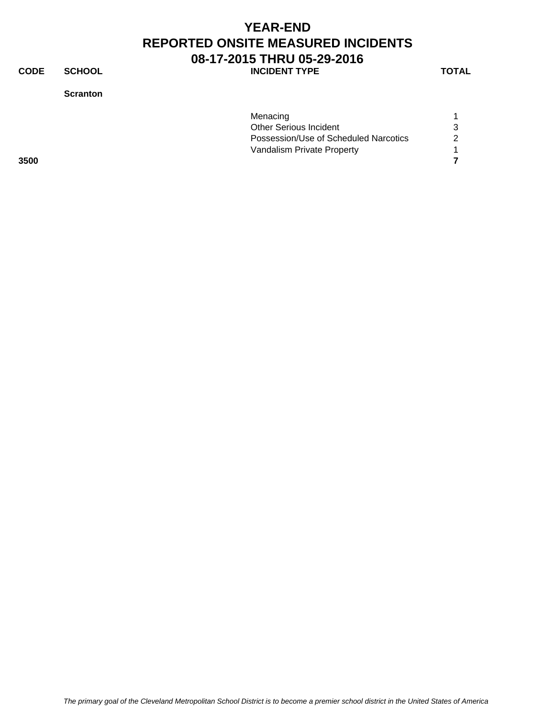**CODE SCHOOL SCHOOL INCIDENT TYPE TOTAL** 

**Scranton**

|      | Menacing                              |   |
|------|---------------------------------------|---|
|      | <b>Other Serious Incident</b>         | 3 |
|      | Possession/Use of Scheduled Narcotics | 2 |
|      | Vandalism Private Property            |   |
| 3500 |                                       |   |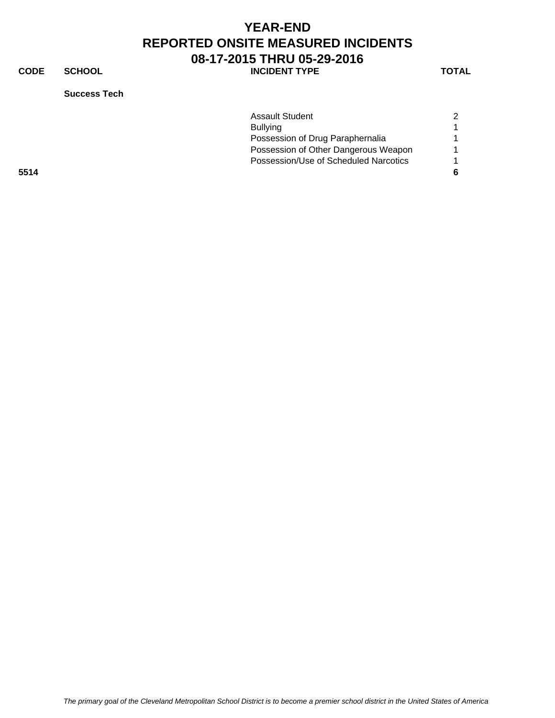**CODE SCHOOL SCHOOL INCIDENT TYPE TOTAL** 

**Success Tech**

| <b>Assault Student</b>                | 2  |
|---------------------------------------|----|
| <b>Bullying</b>                       |    |
| Possession of Drug Paraphernalia      |    |
| Possession of Other Dangerous Weapon  |    |
| Possession/Use of Scheduled Narcotics |    |
|                                       | -6 |
|                                       |    |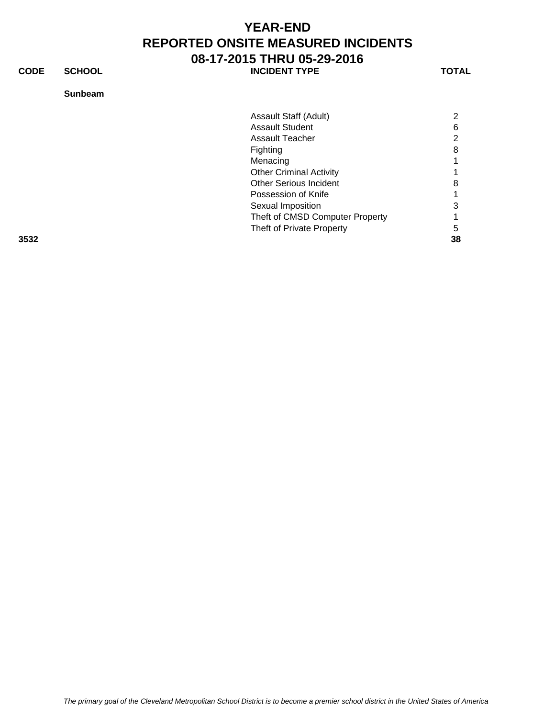**CODE SCHOOL SCHOOL INCIDENT TYPE TOTAL** 

#### **Sunbeam**

|      | Assault Staff (Adult)           | $\overline{2}$        |
|------|---------------------------------|-----------------------|
|      | <b>Assault Student</b>          | 6                     |
|      | <b>Assault Teacher</b>          | $\mathbf{2}^{\prime}$ |
|      | Fighting                        | 8                     |
|      | Menacing                        |                       |
|      | <b>Other Criminal Activity</b>  |                       |
|      | <b>Other Serious Incident</b>   | 8                     |
|      | Possession of Knife             |                       |
|      | Sexual Imposition               | 3                     |
|      | Theft of CMSD Computer Property |                       |
|      | Theft of Private Property       | 5                     |
| 3532 |                                 | 38                    |

*The primary goal of the Cleveland Metropolitan School District is to become a premier school district in the United States of America*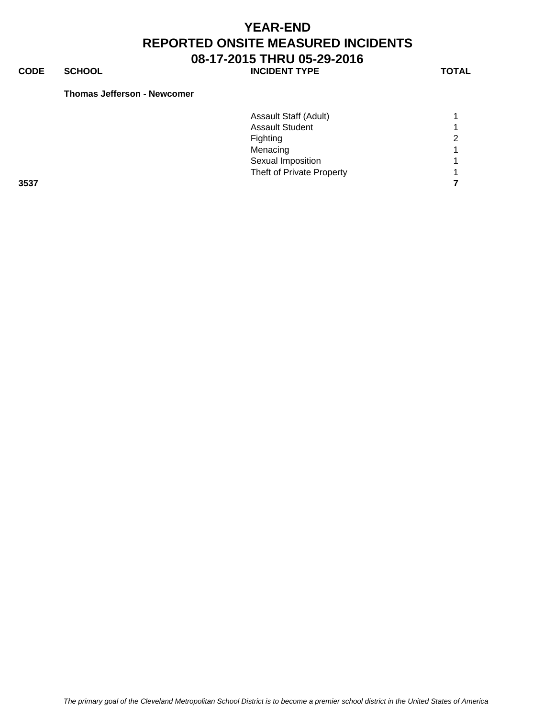**CODE SCHOOL SCHOOL INCIDENT TYPE TOTAL** 

#### **Thomas Jefferson - Newcomer**

|      | Assault Staff (Adult)     |   |
|------|---------------------------|---|
|      | <b>Assault Student</b>    |   |
|      | Fighting                  | 2 |
|      | Menacing                  | 1 |
|      | Sexual Imposition         |   |
|      | Theft of Private Property | 4 |
| 3537 |                           |   |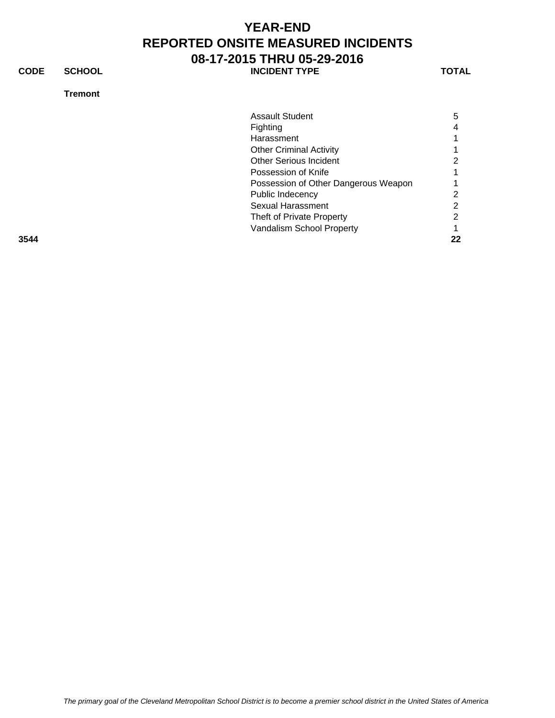**CODE SCHOOL SCHOOL** INCIDENT TYPE TOTAL

#### **Tremont**

| <b>Assault Student</b><br><b>Fighting</b><br>Harassment<br><b>Other Criminal Activity</b><br><b>Other Serious Incident</b><br>Possession of Knife<br>Possession of Other Dangerous Weapon<br>Public Indecency<br>Sexual Harassment<br>Theft of Private Property<br>Vandalism School Property |      |                |
|----------------------------------------------------------------------------------------------------------------------------------------------------------------------------------------------------------------------------------------------------------------------------------------------|------|----------------|
|                                                                                                                                                                                                                                                                                              |      | 5              |
|                                                                                                                                                                                                                                                                                              |      | 4              |
|                                                                                                                                                                                                                                                                                              |      |                |
|                                                                                                                                                                                                                                                                                              |      |                |
|                                                                                                                                                                                                                                                                                              |      | 2              |
|                                                                                                                                                                                                                                                                                              |      |                |
|                                                                                                                                                                                                                                                                                              |      |                |
|                                                                                                                                                                                                                                                                                              |      | $\overline{2}$ |
|                                                                                                                                                                                                                                                                                              |      | 2              |
|                                                                                                                                                                                                                                                                                              |      | 2              |
|                                                                                                                                                                                                                                                                                              |      |                |
|                                                                                                                                                                                                                                                                                              | 3544 | 22             |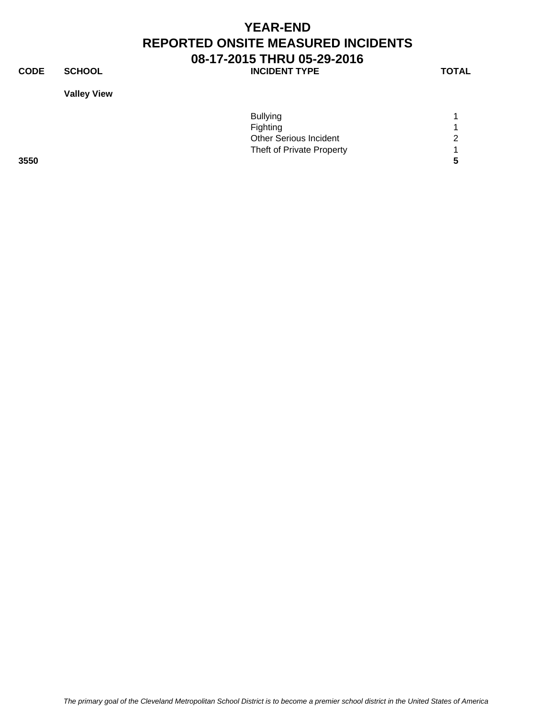**CODE SCHOOL SCHOOL INCIDENT TYPE TOTAL** 

**Valley View**

|      | <b>Bullying</b>               |   |
|------|-------------------------------|---|
|      | <b>Fighting</b>               |   |
|      | <b>Other Serious Incident</b> | ⌒ |
|      | Theft of Private Property     |   |
| 3550 |                               |   |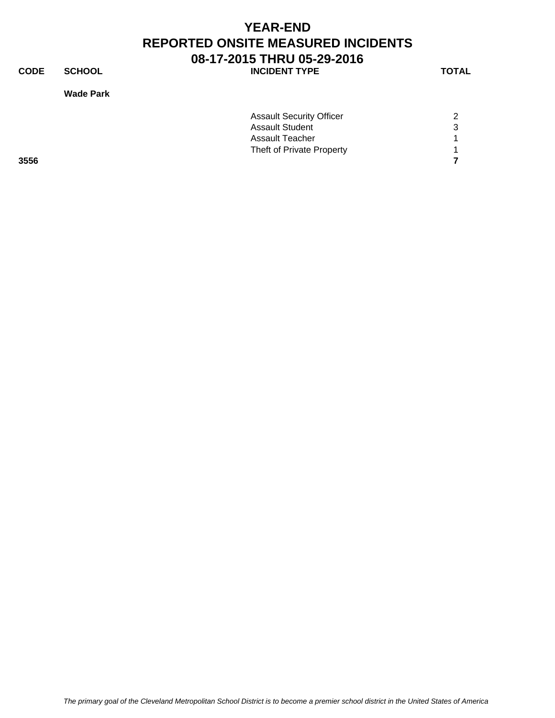**CODE SCHOOL SCHOOL INCIDENT TYPE TOTAL** 

**Wade Park**

|      | <b>Assault Security Officer</b> | 2 |
|------|---------------------------------|---|
|      | <b>Assault Student</b>          | 3 |
|      | Assault Teacher                 |   |
|      | Theft of Private Property       |   |
| 3556 |                                 |   |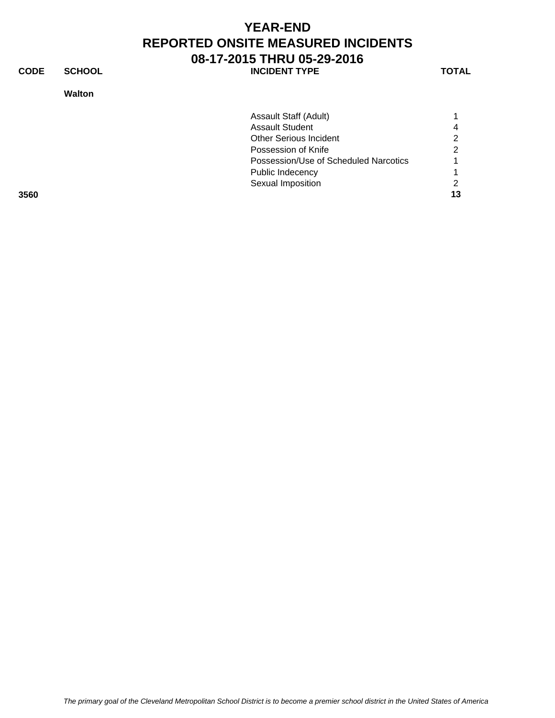**CODE SCHOOL SCHOOL INCIDENT TYPE TOTAL** 

**Walton**

| Sexual Imposition             |                                       |
|-------------------------------|---------------------------------------|
| Public Indecency              |                                       |
|                               |                                       |
| Possession of Knife           |                                       |
| <b>Other Serious Incident</b> |                                       |
| <b>Assault Student</b>        |                                       |
| Assault Staff (Adult)         |                                       |
|                               | Possession/Use of Scheduled Narcotics |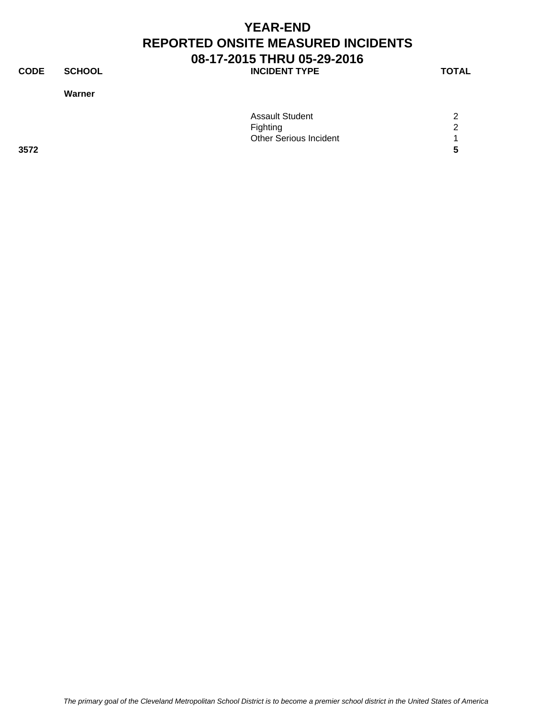**CODE SCHOOL SCHOOL** INCIDENT TYPE TOTAL

**Warner**

|      | <b>Assault Student</b>        | 2 |
|------|-------------------------------|---|
|      |                               |   |
|      | Fighting                      | 2 |
|      | <b>Other Serious Incident</b> |   |
| 3572 |                               | 5 |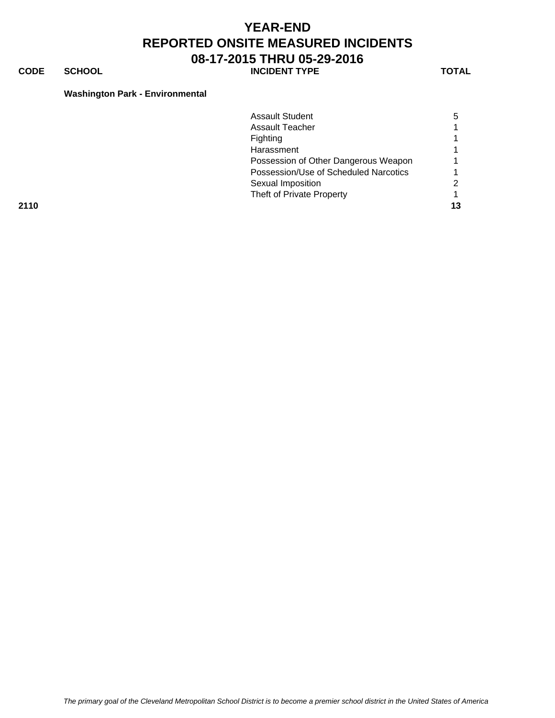**CODE SCHOOL SCHOOL INCIDENT TYPE TOTAL** 

### **Washington Park - Environmental**

|      | <b>Assault Student</b>                | 5  |
|------|---------------------------------------|----|
|      | Assault Teacher                       |    |
|      | Fighting                              |    |
|      | Harassment                            |    |
|      | Possession of Other Dangerous Weapon  |    |
|      | Possession/Use of Scheduled Narcotics |    |
|      | Sexual Imposition                     | 2  |
|      | Theft of Private Property             |    |
| 2110 |                                       | 13 |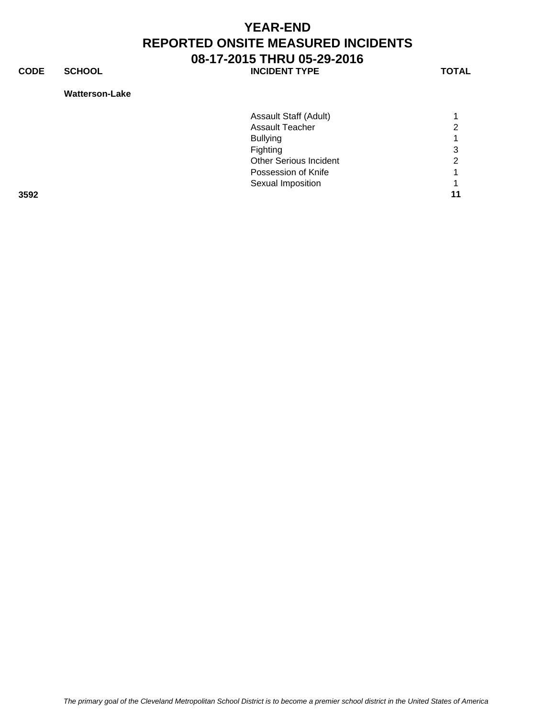**CODE SCHOOL SCHOOL INCIDENT TYPE TOTAL** 

#### **Watterson-Lake**

|      | Assault Staff (Adult)         |   |
|------|-------------------------------|---|
|      | <b>Assault Teacher</b>        | ⌒ |
|      | <b>Bullying</b>               |   |
|      | Fighting                      | 3 |
|      | <b>Other Serious Incident</b> | ⌒ |
|      | Possession of Knife           |   |
|      | Sexual Imposition             |   |
| 3592 |                               |   |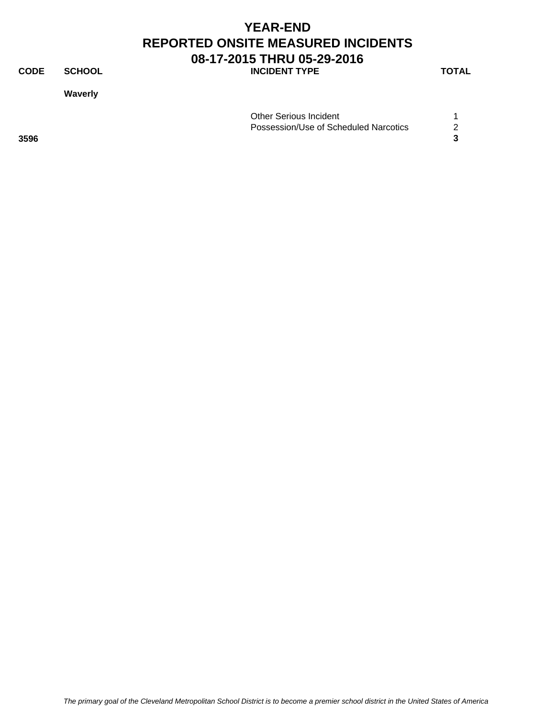**CODE SCHOOL SCHOOL INCIDENT TYPE TOTAL** 

**Waverly**

|      | <b>Other Serious Incident</b>         |        |
|------|---------------------------------------|--------|
|      | Possession/Use of Scheduled Narcotics | $\sim$ |
| 3596 |                                       |        |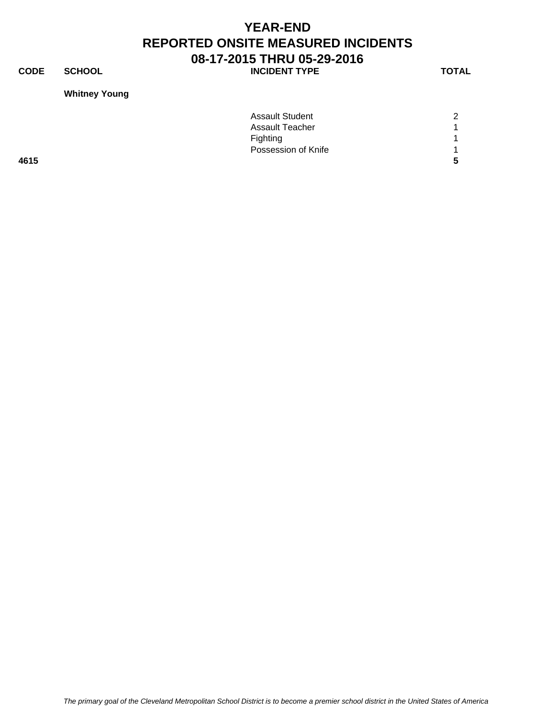**CODE SCHOOL SCHOOL INCIDENT TYPE TOTAL** 

### **Whitney Young**

| <b>Assault Student</b> | 2 |
|------------------------|---|
| <b>Assault Teacher</b> |   |
| Fighting               |   |
| Possession of Knife    |   |
|                        | 5 |
|                        |   |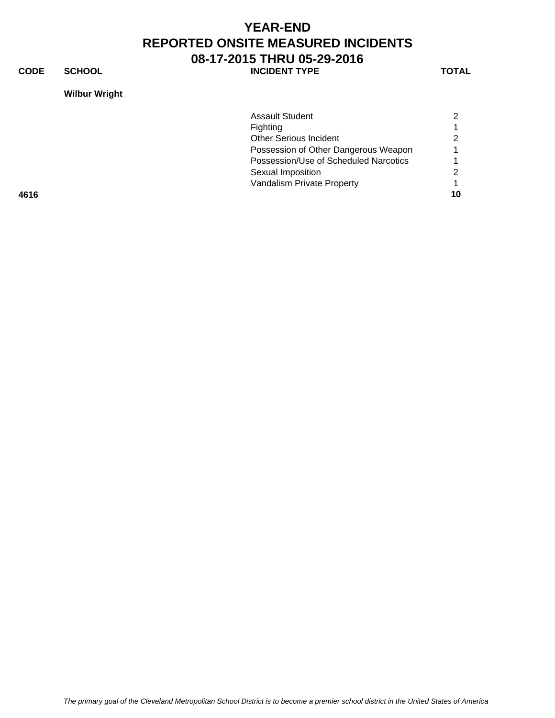**CODE SCHOOL SCHOOL INCIDENT TYPE TOTAL** 

**Wilbur Wright**

|      | <b>Assault Student</b>                |    |
|------|---------------------------------------|----|
|      | Fighting                              |    |
|      | <b>Other Serious Incident</b>         |    |
|      | Possession of Other Dangerous Weapon  |    |
|      | Possession/Use of Scheduled Narcotics |    |
|      | Sexual Imposition                     |    |
|      | Vandalism Private Property            |    |
| 4616 |                                       | 10 |
|      |                                       |    |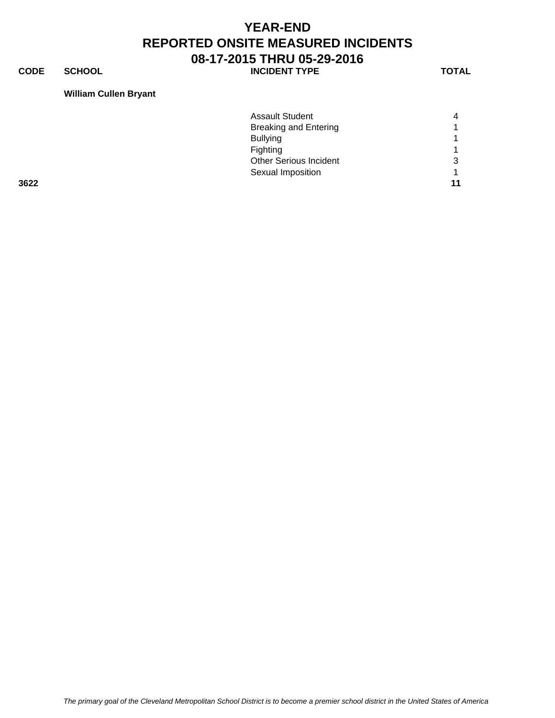**CODE SCHOOL SCHOOL INCIDENT TYPE TOTAL** 

#### **William Cullen Bryant**

|      | <b>Assault Student</b>       | 4  |
|------|------------------------------|----|
|      | <b>Breaking and Entering</b> |    |
|      | <b>Bullying</b>              |    |
|      | Fighting                     |    |
|      | Other Serious Incident       | 3  |
|      | Sexual Imposition            |    |
| 3622 |                              | 11 |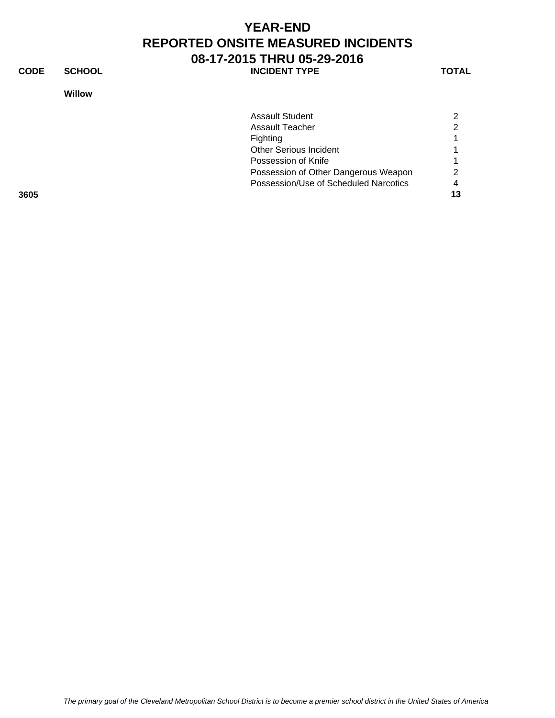**CODE SCHOOL SCHOOL INCIDENT TYPE TOTAL** 

**Willow**

|      | <b>Assault Student</b>                | $\overline{2}$ |
|------|---------------------------------------|----------------|
|      | <b>Assault Teacher</b>                | 2              |
|      | Fighting                              |                |
|      | <b>Other Serious Incident</b>         |                |
|      | Possession of Knife                   |                |
|      | Possession of Other Dangerous Weapon  | $\overline{2}$ |
|      | Possession/Use of Scheduled Narcotics | 4              |
| 3605 |                                       | 13             |
|      |                                       |                |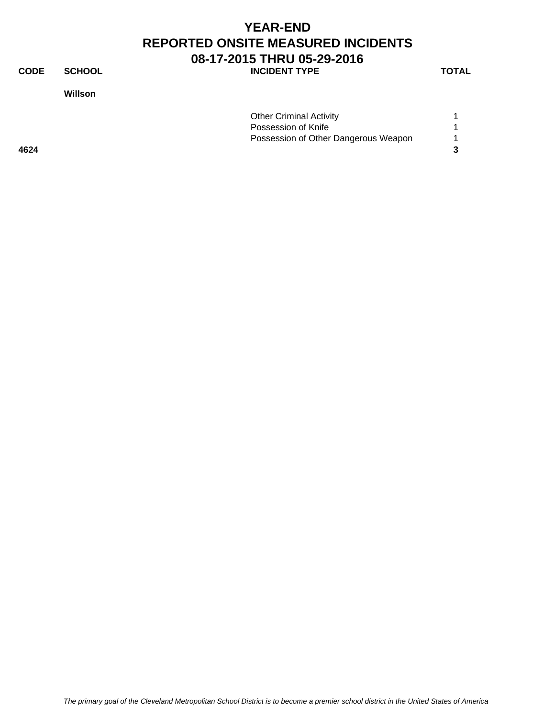### **YEAR-END REPORTED ONSITE MEASURED INCIDENTS 08-17-2015 THRU 05-29-2016 CODE SCHOOL INCIDENT TYPE TOTAL**

**Willson**

|  | C | TAI |  |
|--|---|-----|--|
|  |   |     |  |

|      | <b>Other Criminal Activity</b>       |  |
|------|--------------------------------------|--|
|      | Possession of Knife                  |  |
|      | Possession of Other Dangerous Weapon |  |
| 4624 |                                      |  |